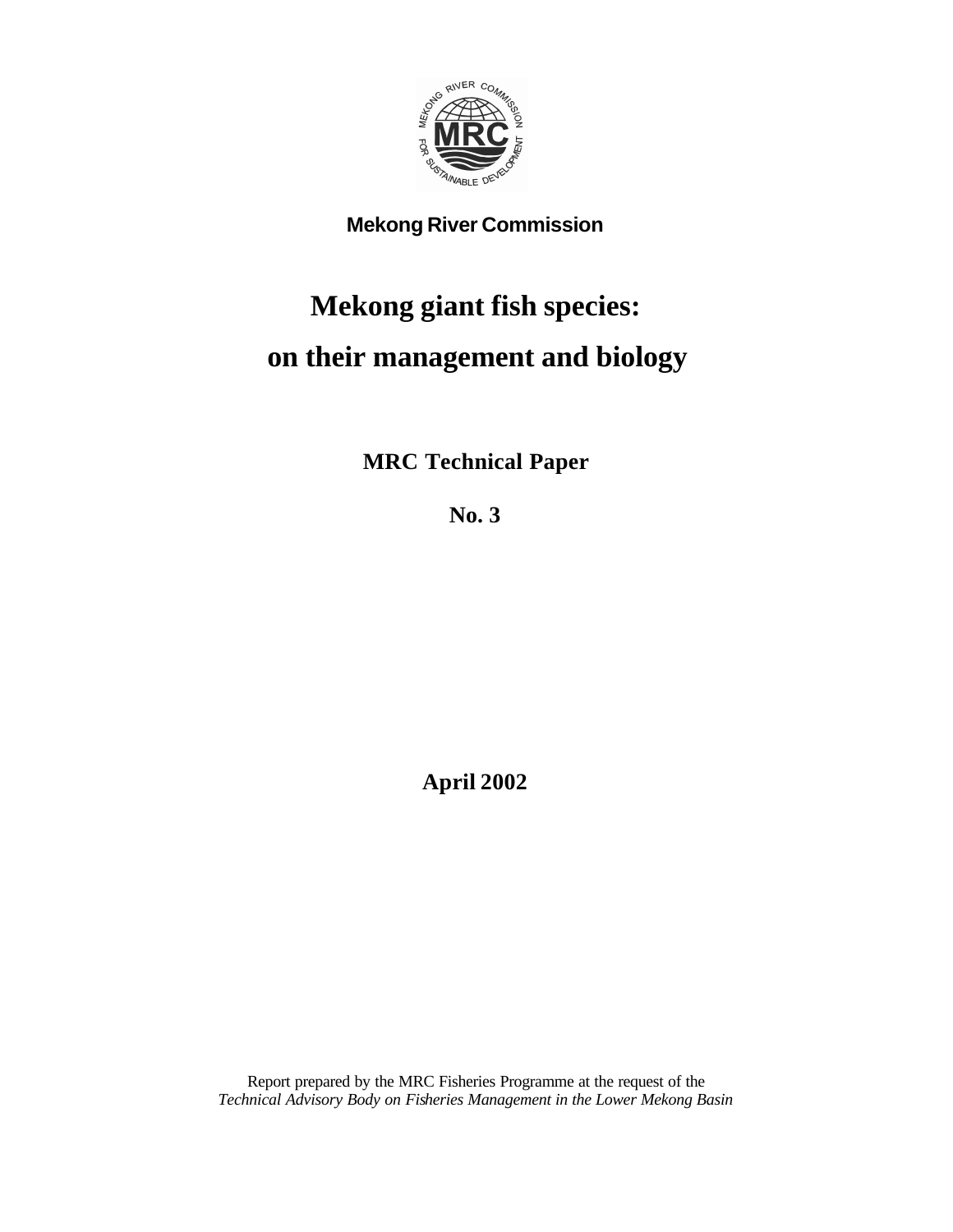

### **Mekong River Commission**

### **Mekong giant fish species: on their management and biology**

**MRC Technical Paper**

**No. 3**

**April 2002**

Report prepared by the MRC Fisheries Programme at the request of the *Technical Advisory Body on Fisheries Management in the Lower Mekong Basin*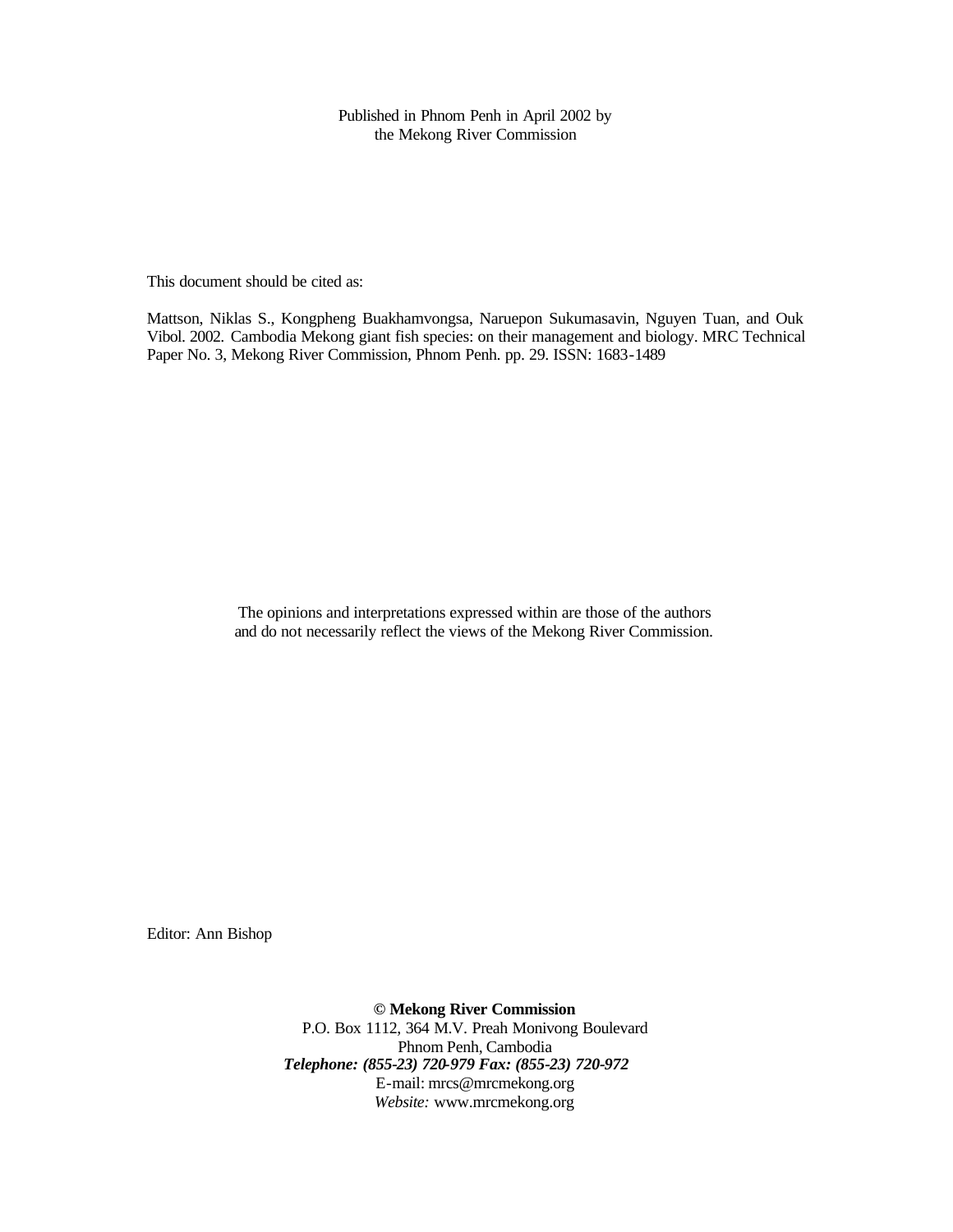Published in Phnom Penh in April 2002 by the Mekong River Commission

This document should be cited as:

Mattson, Niklas S., Kongpheng Buakhamvongsa, Naruepon Sukumasavin, Nguyen Tuan, and Ouk Vibol. 2002. Cambodia Mekong giant fish species: on their management and biology. MRC Technical Paper No. 3, Mekong River Commission, Phnom Penh. pp. 29. ISSN: 1683-1489

> The opinions and interpretations expressed within are those of the authors and do not necessarily reflect the views of the Mekong River Commission.

Editor: Ann Bishop

**© Mekong River Commission** P.O. Box 1112, 364 M.V. Preah Monivong Boulevard Phnom Penh, Cambodia *Telephone: (855-23) 720-979 Fax: (855-23) 720-972* E-mail: mrcs@mrcmekong.org *Website:* www.mrcmekong.org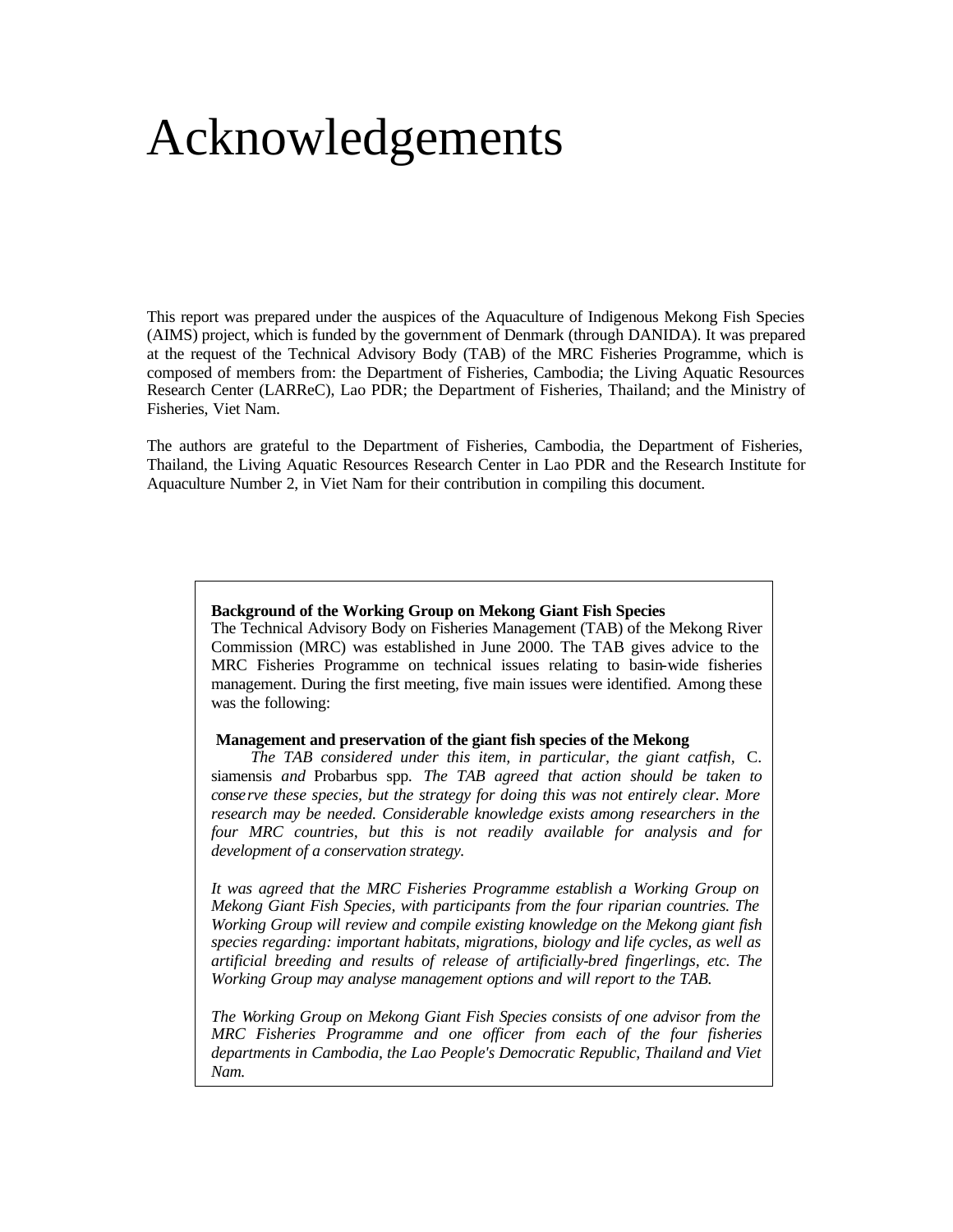### Acknowledgements

This report was prepared under the auspices of the Aquaculture of Indigenous Mekong Fish Species (AIMS) project, which is funded by the government of Denmark (through DANIDA). It was prepared at the request of the Technical Advisory Body (TAB) of the MRC Fisheries Programme, which is composed of members from: the Department of Fisheries, Cambodia; the Living Aquatic Resources Research Center (LARReC), Lao PDR; the Department of Fisheries, Thailand; and the Ministry of Fisheries, Viet Nam.

The authors are grateful to the Department of Fisheries, Cambodia, the Department of Fisheries, Thailand, the Living Aquatic Resources Research Center in Lao PDR and the Research Institute for Aquaculture Number 2, in Viet Nam for their contribution in compiling this document.

#### **Background of the Working Group on Mekong Giant Fish Species**

The Technical Advisory Body on Fisheries Management (TAB) of the Mekong River Commission (MRC) was established in June 2000. The TAB gives advice to the MRC Fisheries Programme on technical issues relating to basin-wide fisheries management. During the first meeting, five main issues were identified. Among these was the following:

#### **Management and preservation of the giant fish species of the Mekong**

*The TAB considered under this item, in particular, the giant catfish,* C. siamensis *and* Probarbus spp. *The TAB agreed that action should be taken to conserve these species, but the strategy for doing this was not entirely clear. More research may be needed. Considerable knowledge exists among researchers in the four MRC countries, but this is not readily available for analysis and for development of a conservation strategy.*

*It was agreed that the MRC Fisheries Programme establish a Working Group on Mekong Giant Fish Species, with participants from the four riparian countries. The Working Group will review and compile existing knowledge on the Mekong giant fish species regarding: important habitats, migrations, biology and life cycles, as well as artificial breeding and results of release of artificially-bred fingerlings, etc. The Working Group may analyse management options and will report to the TAB.*

*The Working Group on Mekong Giant Fish Species consists of one advisor from the MRC Fisheries Programme and one officer from each of the four fisheries departments in Cambodia, the Lao People's Democratic Republic, Thailand and Viet Nam.*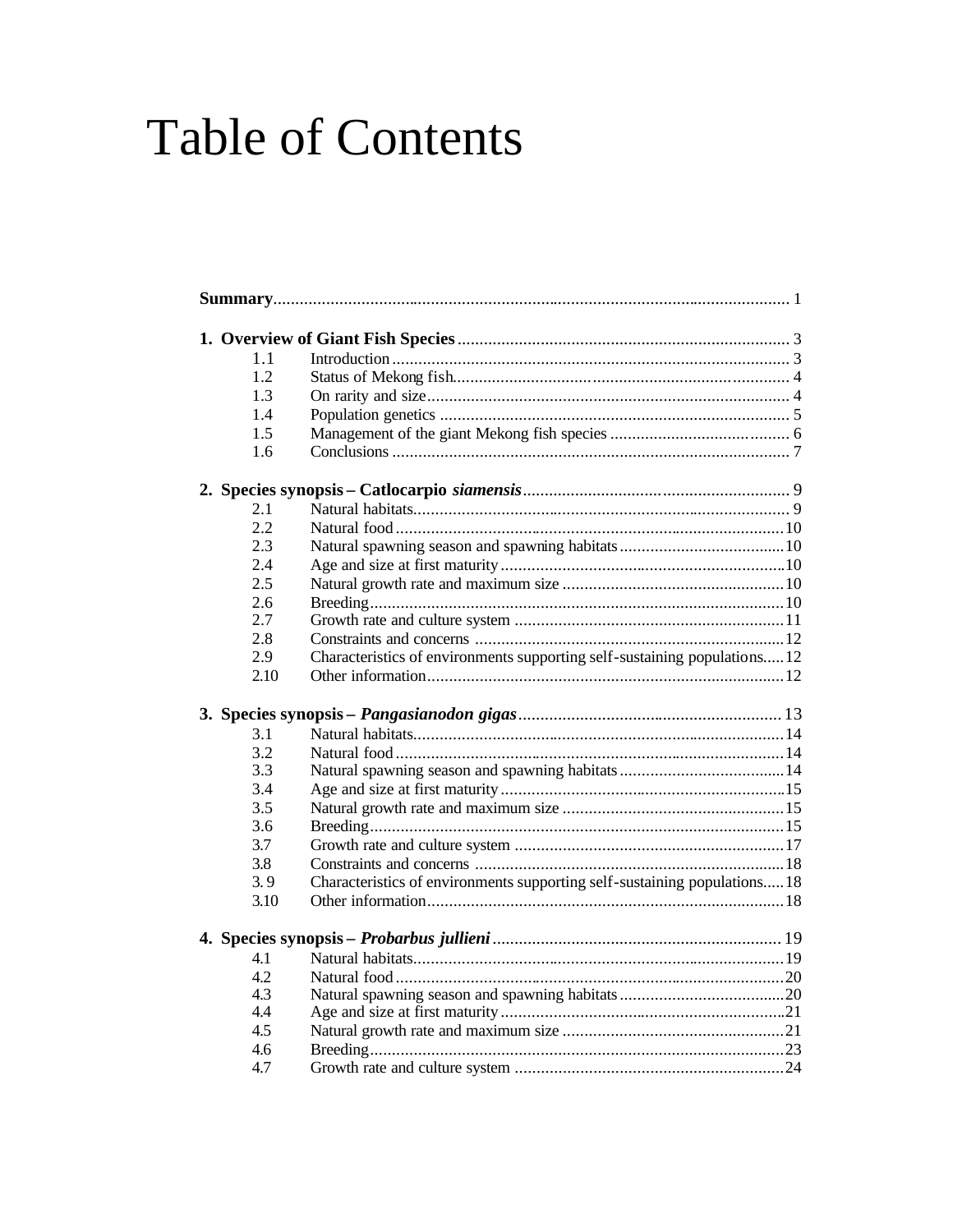# **Table of Contents**

| $1\;1$ |                                                                           |  |
|--------|---------------------------------------------------------------------------|--|
| 1.2    |                                                                           |  |
| 1.3    |                                                                           |  |
| 1.4    |                                                                           |  |
| 1.5    |                                                                           |  |
| 1.6    |                                                                           |  |
|        |                                                                           |  |
| 2.1    |                                                                           |  |
| 2.2    |                                                                           |  |
| 2.3    |                                                                           |  |
| 2.4    |                                                                           |  |
| 2.5    |                                                                           |  |
| 2.6    |                                                                           |  |
| 2.7    |                                                                           |  |
| 2.8    |                                                                           |  |
| 2.9    | Characteristics of environments supporting self-sustaining populations12  |  |
| 2.10   |                                                                           |  |
|        |                                                                           |  |
| 3.1    |                                                                           |  |
| 3.2    |                                                                           |  |
| 3.3    |                                                                           |  |
| 3.4    |                                                                           |  |
| 3.5    |                                                                           |  |
| 3.6    |                                                                           |  |
| 3.7    |                                                                           |  |
| 3.8    |                                                                           |  |
| 3.9    | Characteristics of environments supporting self-sustaining populations 18 |  |
| 3.10   |                                                                           |  |
|        |                                                                           |  |
| 4.1    |                                                                           |  |
| 4.2    |                                                                           |  |
| 4.3    |                                                                           |  |
| 4.4    |                                                                           |  |
| 4.5    |                                                                           |  |
| 4.6    |                                                                           |  |
| 4.7    |                                                                           |  |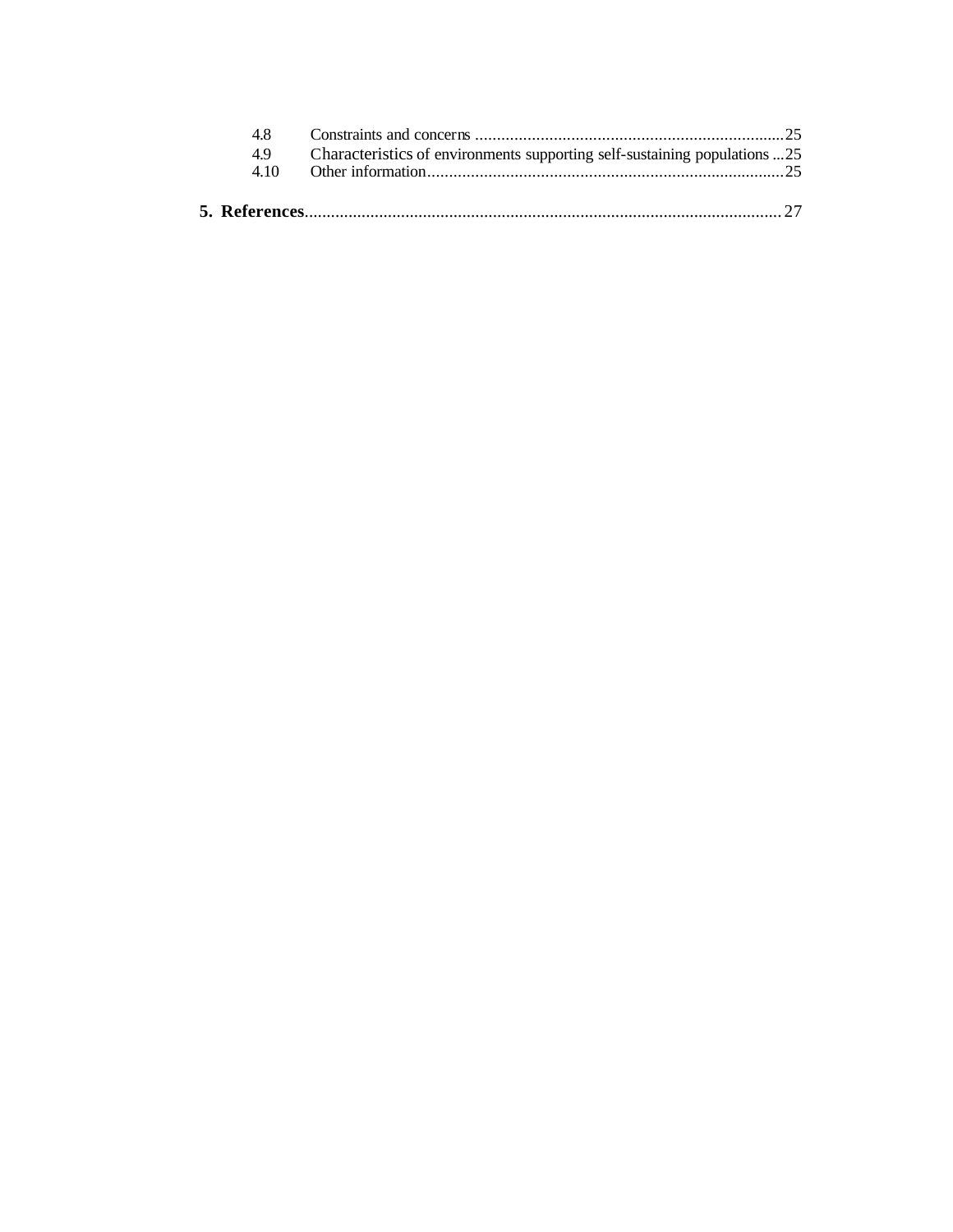| 48   |                                                                           |  |
|------|---------------------------------------------------------------------------|--|
| 49   | Characteristics of environments supporting self-sustaining populations 25 |  |
| 4.10 |                                                                           |  |
|      |                                                                           |  |
|      |                                                                           |  |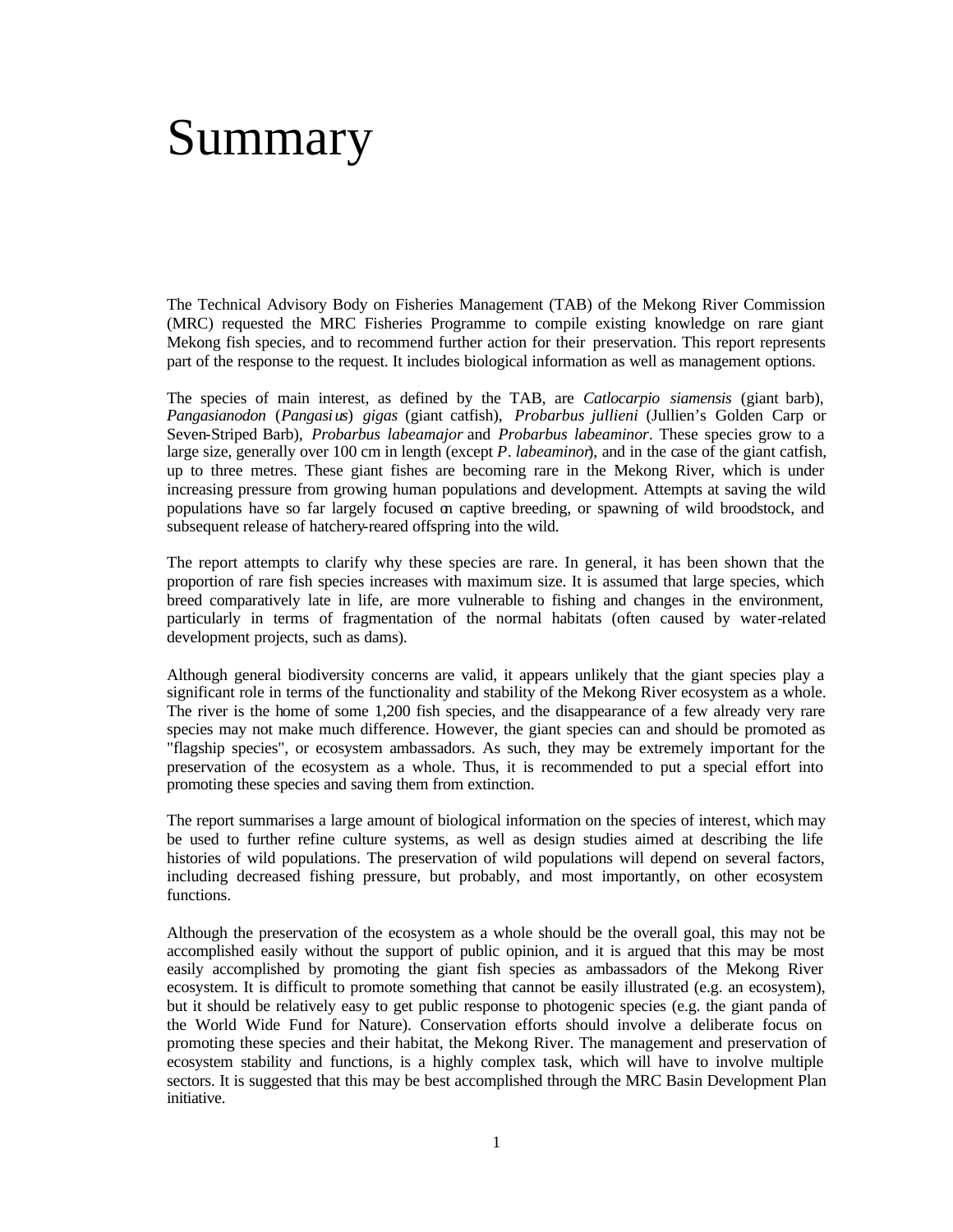### Summary

The Technical Advisory Body on Fisheries Management (TAB) of the Mekong River Commission (MRC) requested the MRC Fisheries Programme to compile existing knowledge on rare giant Mekong fish species, and to recommend further action for their preservation. This report represents part of the response to the request. It includes biological information as well as management options.

The species of main interest, as defined by the TAB, are *Catlocarpio siamensis* (giant barb), *Pangasianodon* (*Pangasius*) *gigas* (giant catfish), *Probarbus jullieni* (Jullien's Golden Carp or Seven-Striped Barb), *Probarbus labeamajor* and *Probarbus labeaminor*. These species grow to a large size, generally over 100 cm in length (except *P*. *labeaminor*), and in the case of the giant catfish, up to three metres. These giant fishes are becoming rare in the Mekong River, which is under increasing pressure from growing human populations and development. Attempts at saving the wild populations have so far largely focused on captive breeding, or spawning of wild broodstock, and subsequent release of hatchery-reared offspring into the wild.

The report attempts to clarify why these species are rare. In general, it has been shown that the proportion of rare fish species increases with maximum size. It is assumed that large species, which breed comparatively late in life, are more vulnerable to fishing and changes in the environment, particularly in terms of fragmentation of the normal habitats (often caused by water-related development projects, such as dams).

Although general biodiversity concerns are valid, it appears unlikely that the giant species play a significant role in terms of the functionality and stability of the Mekong River ecosystem as a whole. The river is the home of some 1,200 fish species, and the disappearance of a few already very rare species may not make much difference. However, the giant species can and should be promoted as "flagship species", or ecosystem ambassadors. As such, they may be extremely important for the preservation of the ecosystem as a whole. Thus, it is recommended to put a special effort into promoting these species and saving them from extinction.

The report summarises a large amount of biological information on the species of interest, which may be used to further refine culture systems, as well as design studies aimed at describing the life histories of wild populations. The preservation of wild populations will depend on several factors, including decreased fishing pressure, but probably, and most importantly, on other ecosystem functions.

Although the preservation of the ecosystem as a whole should be the overall goal, this may not be accomplished easily without the support of public opinion, and it is argued that this may be most easily accomplished by promoting the giant fish species as ambassadors of the Mekong River ecosystem. It is difficult to promote something that cannot be easily illustrated (e.g. an ecosystem), but it should be relatively easy to get public response to photogenic species (e.g. the giant panda of the World Wide Fund for Nature). Conservation efforts should involve a deliberate focus on promoting these species and their habitat, the Mekong River. The management and preservation of ecosystem stability and functions, is a highly complex task, which will have to involve multiple sectors. It is suggested that this may be best accomplished through the MRC Basin Development Plan initiative.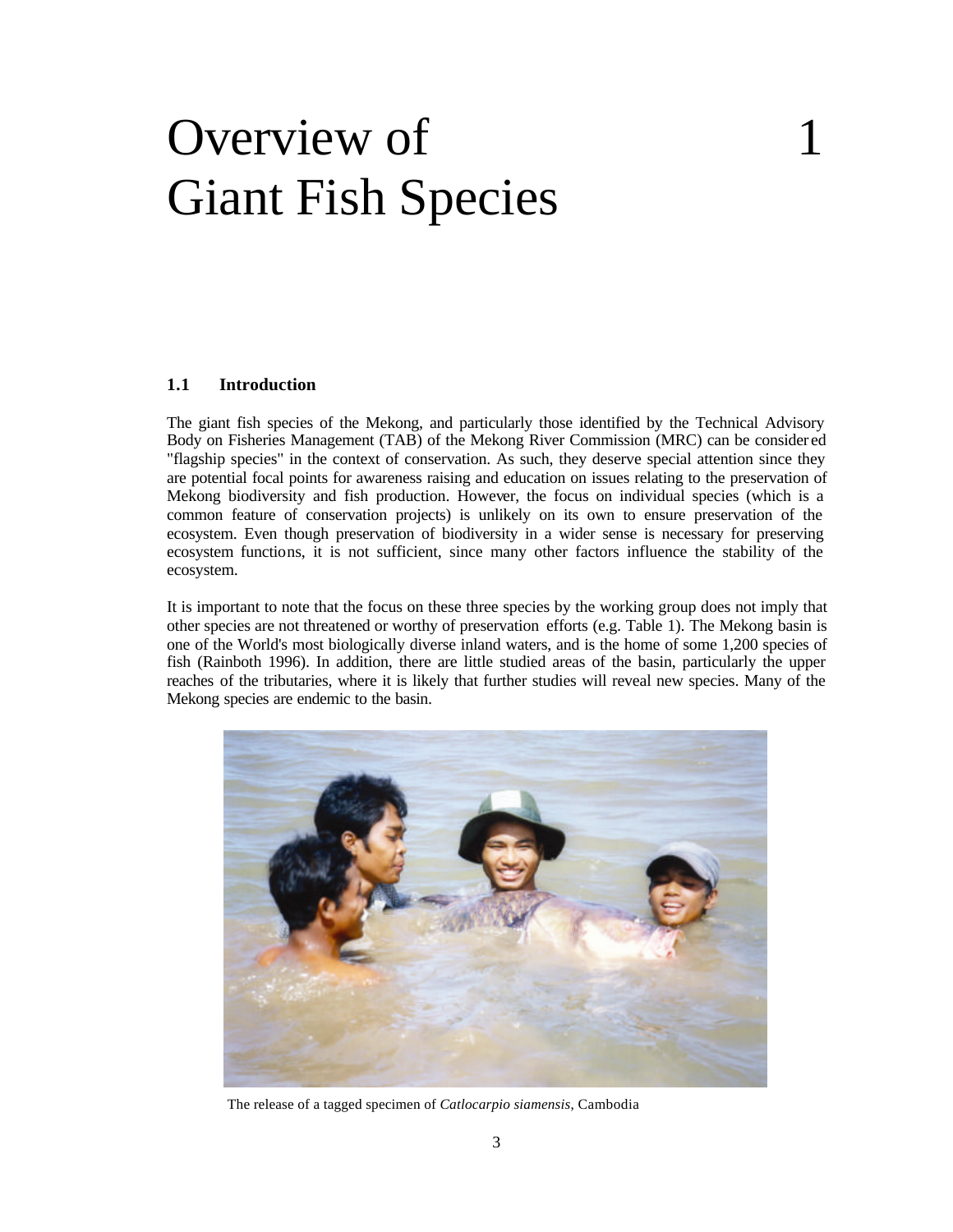# Overview of 1 Giant Fish Species

#### **1.1 Introduction**

The giant fish species of the Mekong, and particularly those identified by the Technical Advisory Body on Fisheries Management (TAB) of the Mekong River Commission (MRC) can be consider ed "flagship species" in the context of conservation. As such, they deserve special attention since they are potential focal points for awareness raising and education on issues relating to the preservation of Mekong biodiversity and fish production. However, the focus on individual species (which is a common feature of conservation projects) is unlikely on its own to ensure preservation of the ecosystem. Even though preservation of biodiversity in a wider sense is necessary for preserving ecosystem functions, it is not sufficient, since many other factors influence the stability of the ecosystem.

It is important to note that the focus on these three species by the working group does not imply that other species are not threatened or worthy of preservation efforts (e.g. Table 1). The Mekong basin is one of the World's most biologically diverse inland waters, and is the home of some 1,200 species of fish (Rainboth 1996). In addition, there are little studied areas of the basin, particularly the upper reaches of the tributaries, where it is likely that further studies will reveal new species. Many of the Mekong species are endemic to the basin.



The release of a tagged specimen of *Catlocarpio siamensis*, Cambodia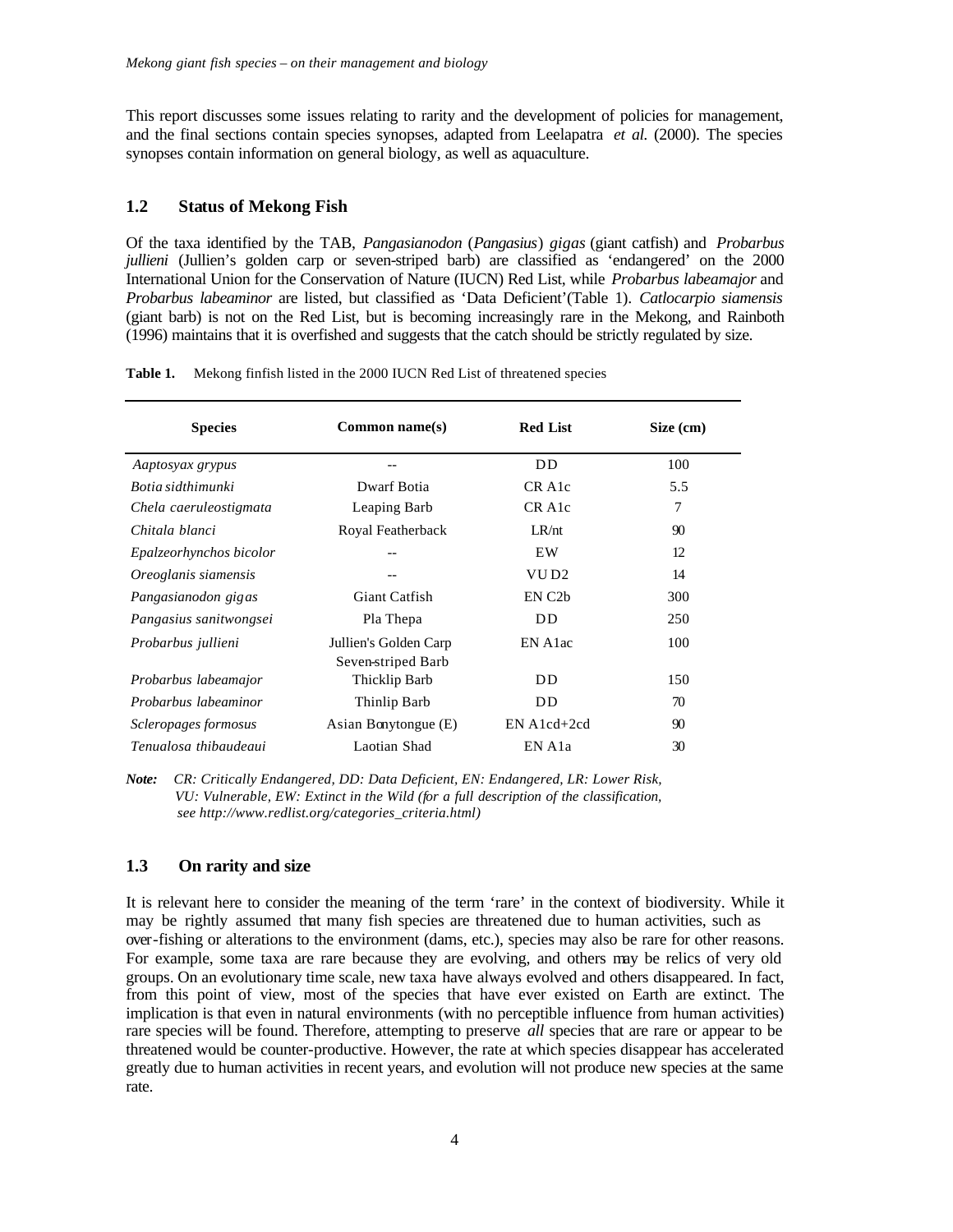This report discusses some issues relating to rarity and the development of policies for management, and the final sections contain species synopses, adapted from Leelapatra *et al.* (2000). The species synopses contain information on general biology, as well as aquaculture.

#### **1.2 Status of Mekong Fish**

Of the taxa identified by the TAB, *Pangasianodon* (*Pangasius*) *gigas* (giant catfish) and *Probarbus jullieni* (Jullien's golden carp or seven-striped barb) are classified as 'endangered' on the 2000 International Union for the Conservation of Nature (IUCN) Red List, while *Probarbus labeamajor* and *Probarbus labeaminor* are listed, but classified as 'Data Deficient'(Table 1). *Catlocarpio siamensis*  (giant barb) is not on the Red List, but is becoming increasingly rare in the Mekong, and Rainboth (1996) maintains that it is overfished and suggests that the catch should be strictly regulated by size.

| Table 1. | Mekong finfish listed in the 2000 IUCN Red List of threatened species |  |  |  |  |  |
|----------|-----------------------------------------------------------------------|--|--|--|--|--|
|----------|-----------------------------------------------------------------------|--|--|--|--|--|

| <b>Species</b>          | Common name(s)                              | <b>Red List</b>      | Size (cm) |
|-------------------------|---------------------------------------------|----------------------|-----------|
| Aaptosyax grypus        |                                             | D <sub>D</sub>       | 100       |
| Botia sidthimunki       | Dwarf Botia                                 | CR A <sub>1</sub> c  | 5.5       |
| Chela caeruleostigmata  | Leaping Barb                                | CR A <sub>1</sub> c  | 7         |
| Chitala blanci          | Royal Featherback                           | LR/nt                | 90        |
| Epalzeorhynchos bicolor |                                             | EW                   | 12        |
| Oreoglanis siamensis    | --                                          | VU D <sub>2</sub>    | 14        |
| Pangasianodon gigas     | Giant Catfish                               | EN C <sub>2</sub> b  | 300       |
| Pangasius sanitwongsei  | Pla Thepa                                   | DD.                  | 250       |
| Probarbus jullieni      | Jullien's Golden Carp<br>Seven-striped Barb | EN A <sub>1</sub> ac | 100       |
| Probarbus labeamajor    | Thicklip Barb                               | DD.                  | 150       |
| Probarbus labeaminor    | Thinlip Barb                                | <b>DD</b>            | 70        |
| Scleropages formosus    | Asian Bonytongue (E)                        | $EN A1cd+2cd$        | 90        |
| Tenualosa thibaudeaui   | Laotian Shad                                | EN A <sub>1</sub> a  | 30        |

*Note: CR: Critically Endangered, DD: Data Deficient, EN: Endangered, LR: Lower Risk, VU: Vulnerable, EW: Extinct in the Wild (for a full description of the classification, see http://www.redlist.org/categories\_criteria.html)*

#### **1.3 On rarity and size**

It is relevant here to consider the meaning of the term 'rare' in the context of biodiversity. While it may be rightly assumed that many fish species are threatened due to human activities, such as over-fishing or alterations to the environment (dams, etc.), species may also be rare for other reasons. For example, some taxa are rare because they are evolving, and others may be relics of very old groups. On an evolutionary time scale, new taxa have always evolved and others disappeared. In fact, from this point of view, most of the species that have ever existed on Earth are extinct. The implication is that even in natural environments (with no perceptible influence from human activities) rare species will be found. Therefore, attempting to preserve *all* species that are rare or appear to be threatened would be counter-productive. However, the rate at which species disappear has accelerated greatly due to human activities in recent years, and evolution will not produce new species at the same rate.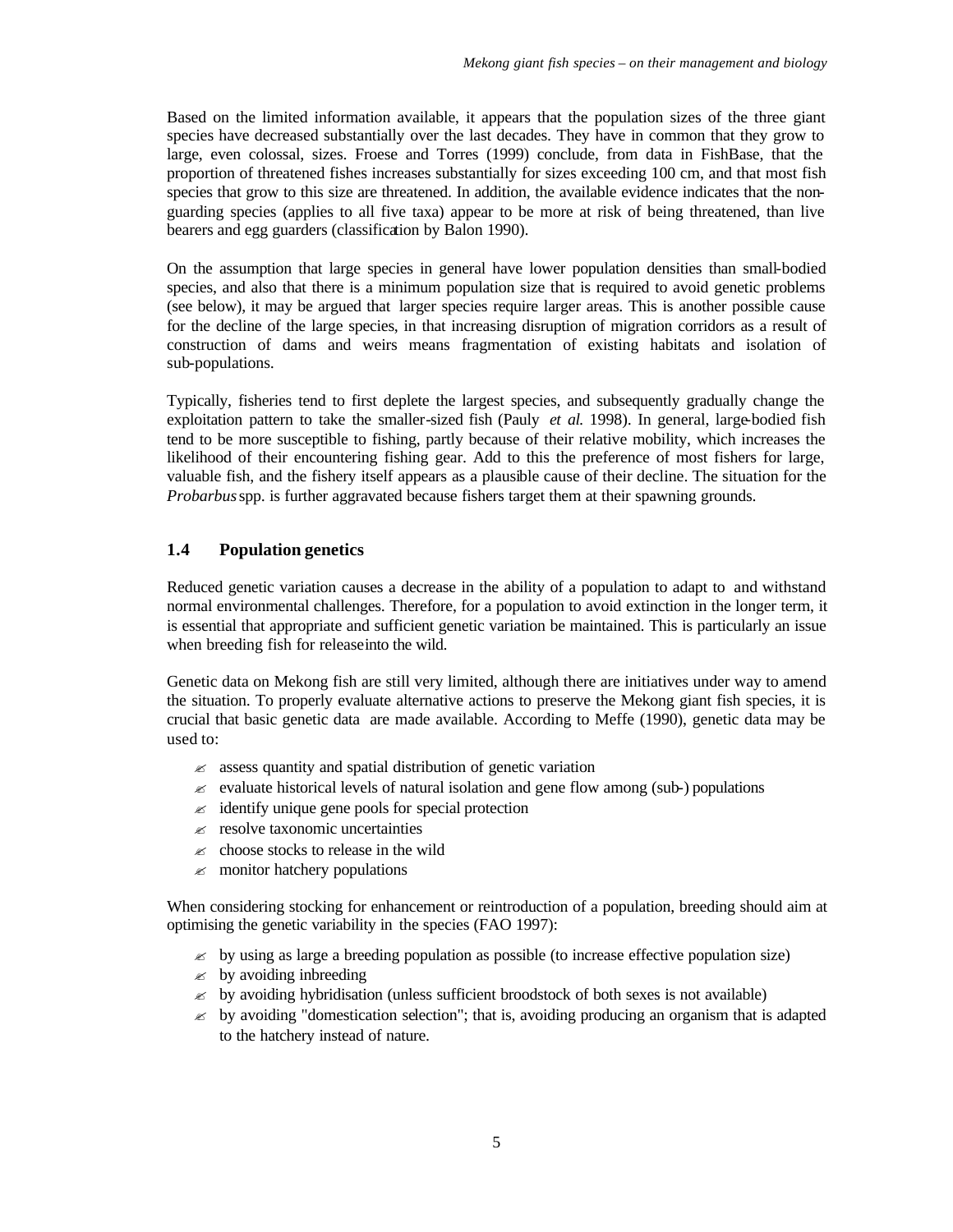Based on the limited information available, it appears that the population sizes of the three giant species have decreased substantially over the last decades. They have in common that they grow to large, even colossal, sizes. Froese and Torres (1999) conclude, from data in FishBase, that the proportion of threatened fishes increases substantially for sizes exceeding 100 cm, and that most fish species that grow to this size are threatened. In addition, the available evidence indicates that the nonguarding species (applies to all five taxa) appear to be more at risk of being threatened, than live bearers and egg guarders (classification by Balon 1990).

On the assumption that large species in general have lower population densities than small-bodied species, and also that there is a minimum population size that is required to avoid genetic problems (see below), it may be argued that larger species require larger areas. This is another possible cause for the decline of the large species, in that increasing disruption of migration corridors as a result of construction of dams and weirs means fragmentation of existing habitats and isolation of sub-populations.

Typically, fisheries tend to first deplete the largest species, and subsequently gradually change the exploitation pattern to take the smaller-sized fish (Pauly *et al.* 1998). In general, large-bodied fish tend to be more susceptible to fishing, partly because of their relative mobility, which increases the likelihood of their encountering fishing gear. Add to this the preference of most fishers for large, valuable fish, and the fishery itself appears as a plausible cause of their decline. The situation for the *Probarbus* spp. is further aggravated because fishers target them at their spawning grounds.

#### **1.4 Population genetics**

Reduced genetic variation causes a decrease in the ability of a population to adapt to and withstand normal environmental challenges. Therefore, for a population to avoid extinction in the longer term, it is essential that appropriate and sufficient genetic variation be maintained. This is particularly an issue when breeding fish for release into the wild.

Genetic data on Mekong fish are still very limited, although there are initiatives under way to amend the situation. To properly evaluate alternative actions to preserve the Mekong giant fish species, it is crucial that basic genetic data are made available. According to Meffe (1990), genetic data may be used to:

- $\approx$  assess quantity and spatial distribution of genetic variation
- $\approx$  evaluate historical levels of natural isolation and gene flow among (sub-) populations
- $\approx$  identify unique gene pools for special protection
- $\approx$  resolve taxonomic uncertainties
- $\approx$  choose stocks to release in the wild
- $\approx$  monitor hatchery populations

When considering stocking for enhancement or reintroduction of a population, breeding should aim at optimising the genetic variability in the species (FAO 1997):

- $\approx$  by using as large a breeding population as possible (to increase effective population size)
- $\approx$  by avoiding inbreeding
- $\approx$  by avoiding hybridisation (unless sufficient broodstock of both sexes is not available)
- $\approx$  by avoiding "domestication selection"; that is, avoiding producing an organism that is adapted to the hatchery instead of nature.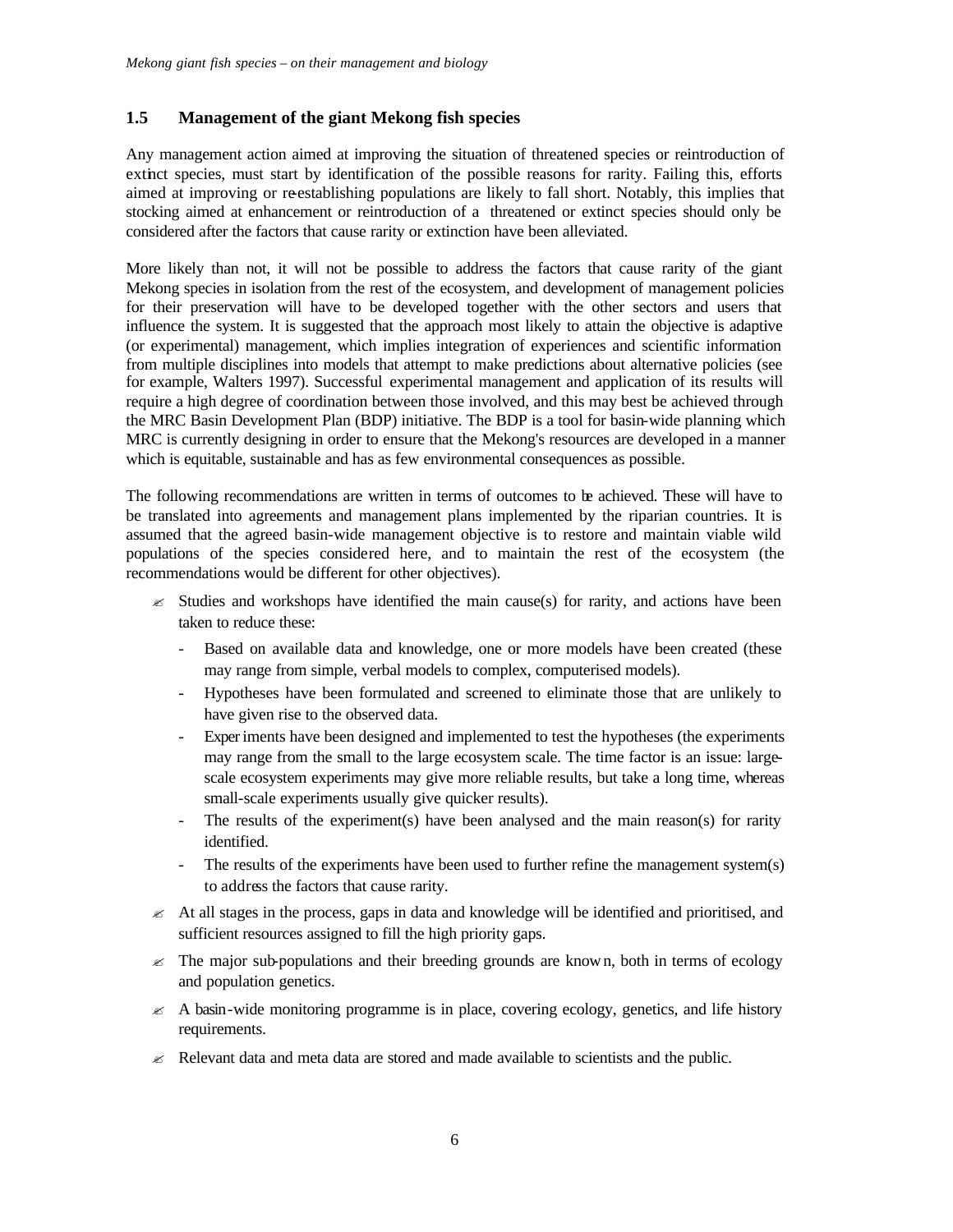#### **1.5 Management of the giant Mekong fish species**

Any management action aimed at improving the situation of threatened species or reintroduction of extinct species, must start by identification of the possible reasons for rarity. Failing this, efforts aimed at improving or reestablishing populations are likely to fall short. Notably, this implies that stocking aimed at enhancement or reintroduction of a threatened or extinct species should only be considered after the factors that cause rarity or extinction have been alleviated.

More likely than not, it will not be possible to address the factors that cause rarity of the giant Mekong species in isolation from the rest of the ecosystem, and development of management policies for their preservation will have to be developed together with the other sectors and users that influence the system. It is suggested that the approach most likely to attain the objective is adaptive (or experimental) management, which implies integration of experiences and scientific information from multiple disciplines into models that attempt to make predictions about alternative policies (see for example, Walters 1997). Successful experimental management and application of its results will require a high degree of coordination between those involved, and this may best be achieved through the MRC Basin Development Plan (BDP) initiative. The BDP is a tool for basin-wide planning which MRC is currently designing in order to ensure that the Mekong's resources are developed in a manner which is equitable, sustainable and has as few environmental consequences as possible.

The following recommendations are written in terms of outcomes to be achieved. These will have to be translated into agreements and management plans implemented by the riparian countries. It is assumed that the agreed basin-wide management objective is to restore and maintain viable wild populations of the species considered here, and to maintain the rest of the ecosystem (the recommendations would be different for other objectives).

- $\approx$  Studies and workshops have identified the main cause(s) for rarity, and actions have been taken to reduce these:
	- Based on available data and knowledge, one or more models have been created (these may range from simple, verbal models to complex, computerised models).
	- Hypotheses have been formulated and screened to eliminate those that are unlikely to have given rise to the observed data.
	- Experiments have been designed and implemented to test the hypotheses (the experiments may range from the small to the large ecosystem scale. The time factor is an issue: largescale ecosystem experiments may give more reliable results, but take a long time, whereas small-scale experiments usually give quicker results).
	- The results of the experiment(s) have been analysed and the main reason(s) for rarity identified.
	- The results of the experiments have been used to further refine the management system(s) to address the factors that cause rarity.
- $\approx$  At all stages in the process, gaps in data and knowledge will be identified and prioritised, and sufficient resources assigned to fill the high priority gaps.
- $\leq$  The major sub-populations and their breeding grounds are known, both in terms of ecology and population genetics.
- $\approx$  A basin-wide monitoring programme is in place, covering ecology, genetics, and life history requirements.
- $\approx$  Relevant data and meta data are stored and made available to scientists and the public.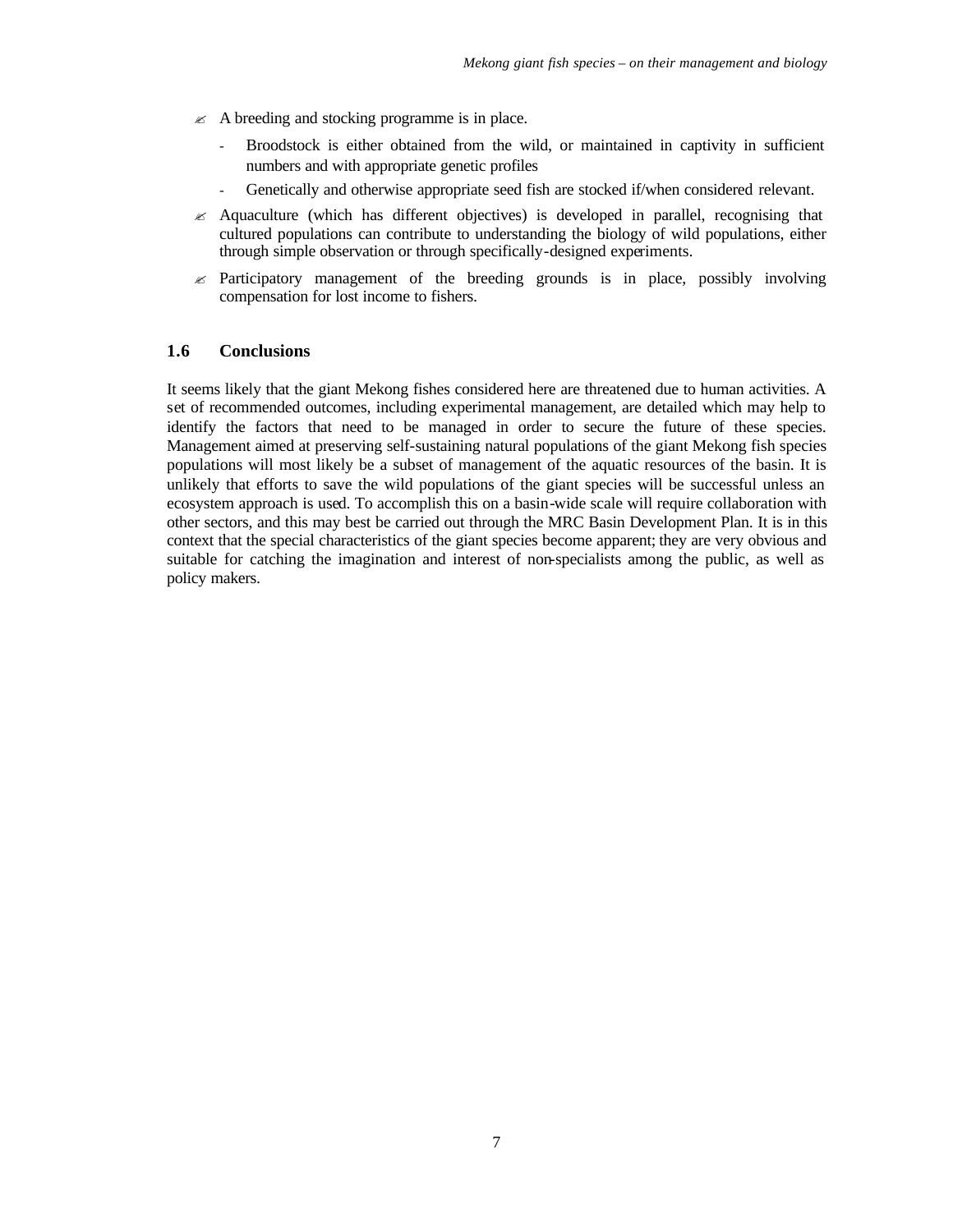- $\mathscr{\mathscr{E}}$  A breeding and stocking programme is in place.
	- Broodstock is either obtained from the wild, or maintained in captivity in sufficient numbers and with appropriate genetic profiles
	- Genetically and otherwise appropriate seed fish are stocked if/when considered relevant.
- $\approx$  Aquaculture (which has different objectives) is developed in parallel, recognising that cultured populations can contribute to understanding the biology of wild populations, either through simple observation or through specifically-designed experiments.
- $\approx$  Participatory management of the breeding grounds is in place, possibly involving compensation for lost income to fishers.

#### **1.6 Conclusions**

It seems likely that the giant Mekong fishes considered here are threatened due to human activities. A set of recommended outcomes, including experimental management, are detailed which may help to identify the factors that need to be managed in order to secure the future of these species. Management aimed at preserving self-sustaining natural populations of the giant Mekong fish species populations will most likely be a subset of management of the aquatic resources of the basin. It is unlikely that efforts to save the wild populations of the giant species will be successful unless an ecosystem approach is used. To accomplish this on a basin-wide scale will require collaboration with other sectors, and this may best be carried out through the MRC Basin Development Plan. It is in this context that the special characteristics of the giant species become apparent; they are very obvious and suitable for catching the imagination and interest of non-specialists among the public, as well as policy makers.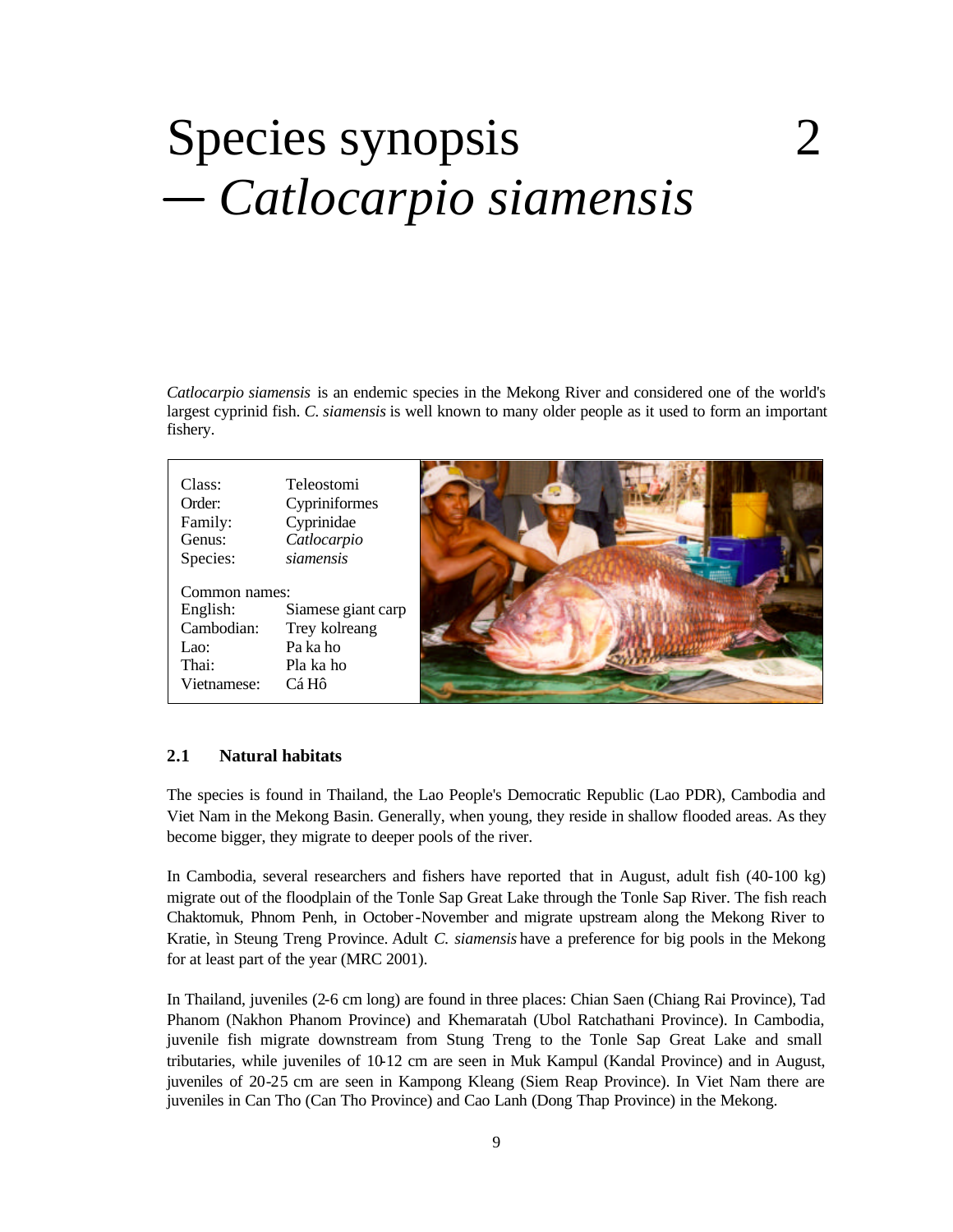# Species synopsis 2  *Catlocarpio siamensis*

*Catlocarpio siamensis* is an endemic species in the Mekong River and considered one of the world's largest cyprinid fish. *C. siamensis* is well known to many older people as it used to form an important fishery.

| Class:        | Teleostomi         |  |
|---------------|--------------------|--|
| Order:        | Cypriniformes      |  |
| Family:       | Cyprinidae         |  |
| Genus:        | Catlocarpio        |  |
| Species:      | siamensis          |  |
|               |                    |  |
| Common names: |                    |  |
| English:      | Siamese giant carp |  |
| Cambodian:    | Trey kolreang      |  |
| Lao:          | Pa ka ho           |  |
| Thai:         | Pla ka ho          |  |
| Vietnamese:   | Cá Hô              |  |
|               |                    |  |

#### **2.1 Natural habitats**

The species is found in Thailand, the Lao People's Democratic Republic (Lao PDR), Cambodia and Viet Nam in the Mekong Basin. Generally, when young, they reside in shallow flooded areas. As they become bigger, they migrate to deeper pools of the river.

In Cambodia, several researchers and fishers have reported that in August, adult fish (40-100 kg) migrate out of the floodplain of the Tonle Sap Great Lake through the Tonle Sap River. The fish reach Chaktomuk, Phnom Penh, in October-November and migrate upstream along the Mekong River to Kratie, ìn Steung Treng Province. Adult *C. siamensis* have a preference for big pools in the Mekong for at least part of the year (MRC 2001).

In Thailand, juveniles (2-6 cm long) are found in three places: Chian Saen (Chiang Rai Province), Tad Phanom (Nakhon Phanom Province) and Khemaratah (Ubol Ratchathani Province). In Cambodia, juvenile fish migrate downstream from Stung Treng to the Tonle Sap Great Lake and small tributaries, while juveniles of 10-12 cm are seen in Muk Kampul (Kandal Province) and in August, juveniles of 20-25 cm are seen in Kampong Kleang (Siem Reap Province). In Viet Nam there are juveniles in Can Tho (Can Tho Province) and Cao Lanh (Dong Thap Province) in the Mekong.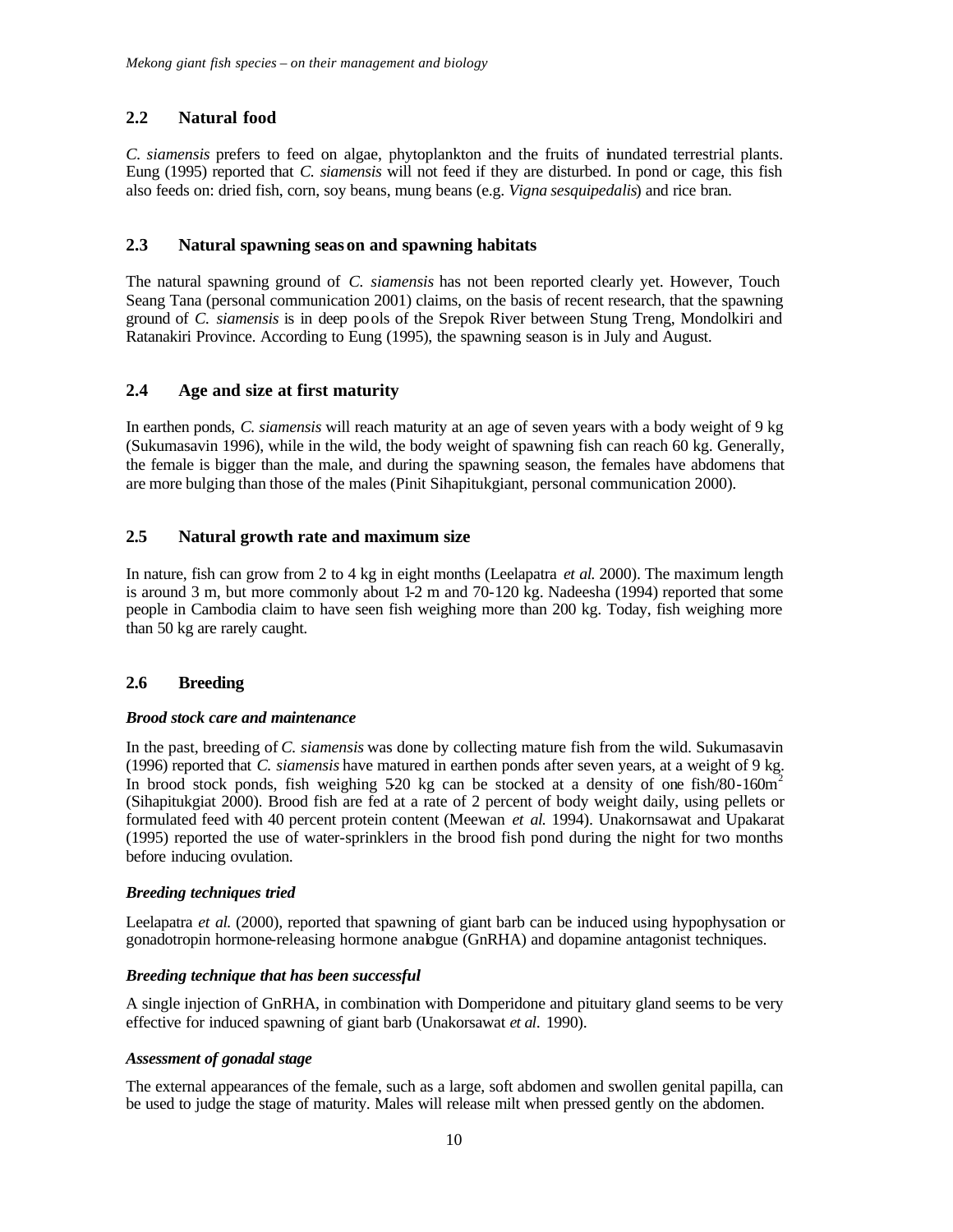#### **2.2 Natural food**

*C. siamensis* prefers to feed on algae, phytoplankton and the fruits of inundated terrestrial plants. Eung (1995) reported that *C. siamensis* will not feed if they are disturbed. In pond or cage, this fish also feeds on: dried fish, corn, soy beans, mung beans (e.g. *Vigna sesquipedalis*) and rice bran.

#### **2.3 Natural spawning season and spawning habitats**

The natural spawning ground of *C. siamensis* has not been reported clearly yet. However, Touch Seang Tana (personal communication 2001) claims, on the basis of recent research, that the spawning ground of *C. siamensis* is in deep pools of the Srepok River between Stung Treng, Mondolkiri and Ratanakiri Province. According to Eung (1995), the spawning season is in July and August.

#### **2.4 Age and size at first maturity**

In earthen ponds, *C. siamensis* will reach maturity at an age of seven years with a body weight of 9 kg (Sukumasavin 1996), while in the wild, the body weight of spawning fish can reach 60 kg. Generally, the female is bigger than the male, and during the spawning season, the females have abdomens that are more bulging than those of the males (Pinit Sihapitukgiant, personal communication 2000).

#### **2.5 Natural growth rate and maximum size**

In nature, fish can grow from 2 to 4 kg in eight months (Leelapatra *et al.* 2000). The maximum length is around 3 m, but more commonly about 1-2 m and 70-120 kg. Nadeesha (1994) reported that some people in Cambodia claim to have seen fish weighing more than 200 kg. Today, fish weighing more than 50 kg are rarely caught.

#### **2.6 Breeding**

#### *Brood stock care and maintenance*

In the past, breeding of *C. siamensis* was done by collecting mature fish from the wild. Sukumasavin (1996) reported that *C. siamensis* have matured in earthen ponds after seven years, at a weight of 9 kg. In brood stock ponds, fish weighing 5-20 kg can be stocked at a density of one fish/80-160m<sup>2</sup> (Sihapitukgiat 2000). Brood fish are fed at a rate of 2 percent of body weight daily, using pellets or formulated feed with 40 percent protein content (Meewan *et al.* 1994). Unakornsawat and Upakarat (1995) reported the use of water-sprinklers in the brood fish pond during the night for two months before inducing ovulation.

#### *Breeding techniques tried*

Leelapatra *et al.* (2000), reported that spawning of giant barb can be induced using hypophysation or gonadotropin hormone-releasing hormone analogue (GnRHA) and dopamine antagonist techniques.

#### *Breeding technique that has been successful*

A single injection of GnRHA, in combination with Domperidone and pituitary gland seems to be very effective for induced spawning of giant barb (Unakorsawat *et al.* 1990).

#### *Assessment of gonadal stage*

The external appearances of the female, such as a large, soft abdomen and swollen genital papilla, can be used to judge the stage of maturity. Males will release milt when pressed gently on the abdomen.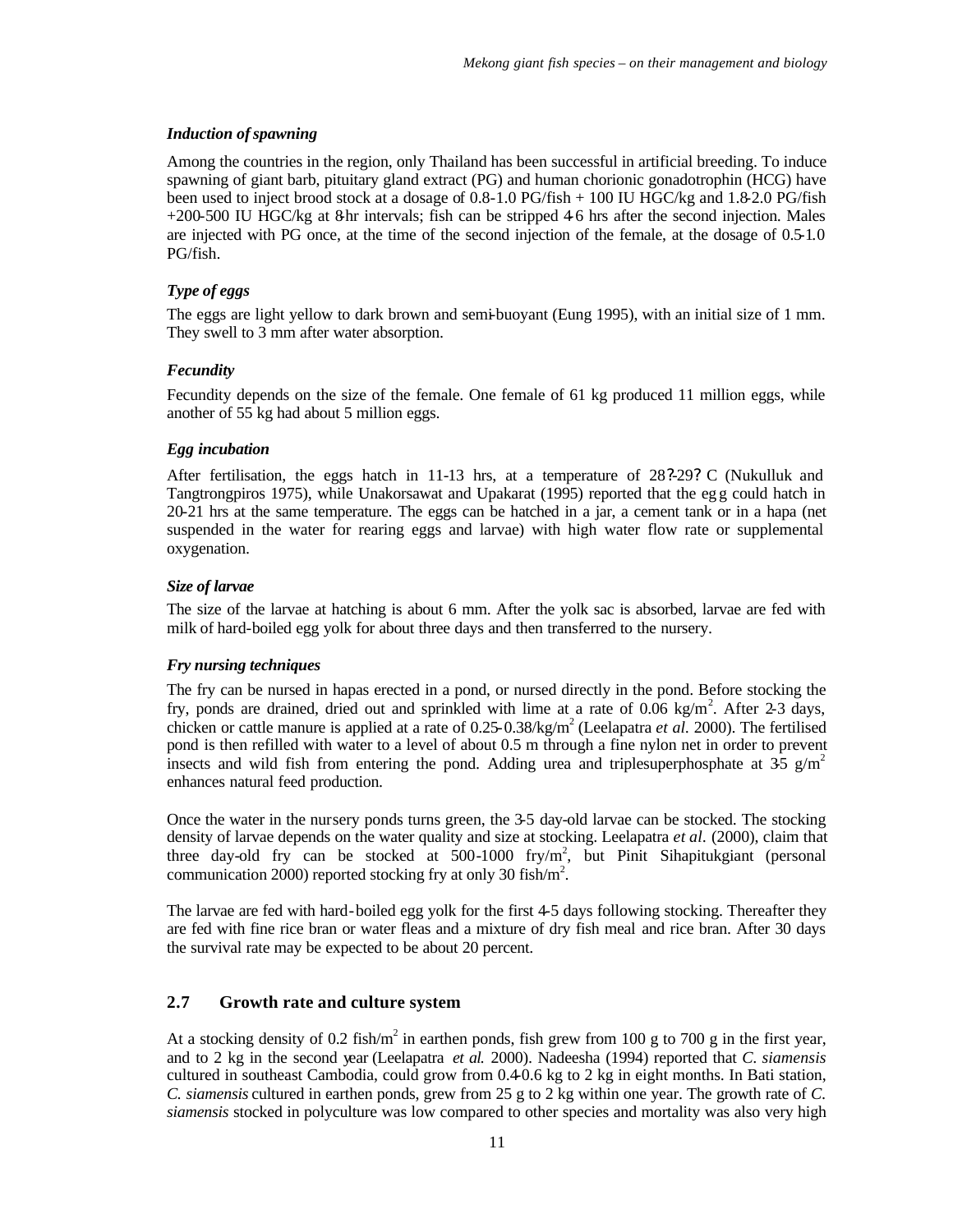#### *Induction of spawning*

Among the countries in the region, only Thailand has been successful in artificial breeding. To induce spawning of giant barb, pituitary gland extract (PG) and human chorionic gonadotrophin (HCG) have been used to inject brood stock at a dosage of 0.8-1.0 PG/fish + 100 IU HGC/kg and 1.8-2.0 PG/fish  $+200-500$  IU HGC/kg at 8 hr intervals; fish can be stripped 4-6 hrs after the second injection. Males are injected with PG once, at the time of the second injection of the female, at the dosage of 0.5-1.0 PG/fish.

#### *Type of eggs*

The eggs are light yellow to dark brown and semi-buoyant (Eung 1995), with an initial size of 1 mm. They swell to 3 mm after water absorption.

#### *Fecundity*

Fecundity depends on the size of the female. One female of 61 kg produced 11 million eggs, while another of 55 kg had about 5 million eggs.

#### *Egg incubation*

After fertilisation, the eggs hatch in 11-13 hrs, at a temperature of 28?-29? C (Nukulluk and Tangtrongpiros 1975), while Unakorsawat and Upakarat (1995) reported that the eg g could hatch in 20-21 hrs at the same temperature. The eggs can be hatched in a jar, a cement tank or in a hapa (net suspended in the water for rearing eggs and larvae) with high water flow rate or supplemental oxygenation.

#### *Size of larvae*

The size of the larvae at hatching is about 6 mm. After the yolk sac is absorbed, larvae are fed with milk of hard-boiled egg yolk for about three days and then transferred to the nursery.

#### *Fry nursing techniques*

The fry can be nursed in hapas erected in a pond, or nursed directly in the pond. Before stocking the fry, ponds are drained, dried out and sprinkled with lime at a rate of  $0.06 \text{ kg/m}^2$ . After 2-3 days, chicken or cattle manure is applied at a rate of 0.25-0.38/kg/m<sup>2</sup> (Leelapatra *et al.* 2000). The fertilised pond is then refilled with water to a level of about 0.5 m through a fine nylon net in order to prevent insects and wild fish from entering the pond. Adding urea and triplesuperphosphate at 35 g/m<sup>2</sup> enhances natural feed production.

Once the water in the nursery ponds turns green, the 3-5 day-old larvae can be stocked. The stocking density of larvae depends on the water quality and size at stocking. Leelapatra *et al.* (2000), claim that three day-old fry can be stocked at  $500-1000$  fry/m<sup>2</sup>, but Pinit Sihapitukgiant (personal communication 2000) reported stocking fry at only 30 fish/m<sup>2</sup>.

The larvae are fed with hard-boiled egg yolk for the first 4-5 days following stocking. Thereafter they are fed with fine rice bran or water fleas and a mixture of dry fish meal and rice bran. After 30 days the survival rate may be expected to be about 20 percent.

#### **2.7 Growth rate and culture system**

At a stocking density of 0.2 fish/ $m^2$  in earthen ponds, fish grew from 100 g to 700 g in the first year, and to 2 kg in the second year (Leelapatra *et al.* 2000). Nadeesha (1994) reported that *C. siamensis* cultured in southeast Cambodia, could grow from 0.4-0.6 kg to 2 kg in eight months. In Bati station, *C. siamensis* cultured in earthen ponds, grew from 25 g to 2 kg within one year. The growth rate of *C. siamensis* stocked in polyculture was low compared to other species and mortality was also very high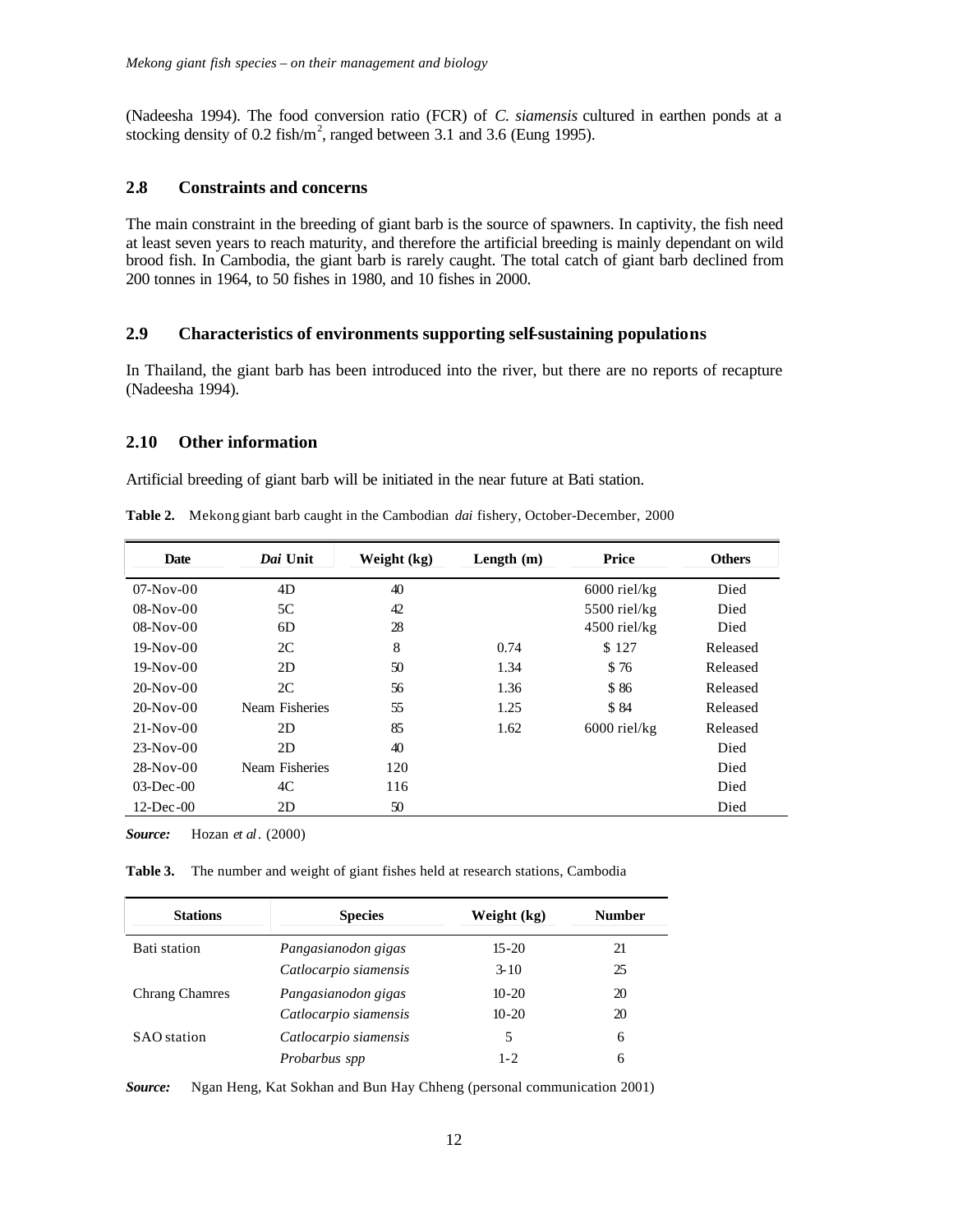(Nadeesha 1994). The food conversion ratio (FCR) of *C. siamensis* cultured in earthen ponds at a stocking density of 0.2 fish/ $m^2$ , ranged between 3.1 and 3.6 (Eung 1995).

#### **2.8 Constraints and concerns**

The main constraint in the breeding of giant barb is the source of spawners. In captivity, the fish need at least seven years to reach maturity, and therefore the artificial breeding is mainly dependant on wild brood fish. In Cambodia, the giant barb is rarely caught. The total catch of giant barb declined from 200 tonnes in 1964, to 50 fishes in 1980, and 10 fishes in 2000.

#### **2.9 Characteristics of environments supporting self-sustaining populations**

In Thailand, the giant barb has been introduced into the river, but there are no reports of recapture (Nadeesha 1994).

#### **2.10 Other information**

Artificial breeding of giant barb will be initiated in the near future at Bati station.

| <b>Date</b>     | Dai Unit       | Weight (kg) | Length $(m)$ | Price          | <b>Others</b> |
|-----------------|----------------|-------------|--------------|----------------|---------------|
| $07-Nov-00$     | 4D             | 40          |              | $6000$ riel/kg | Died          |
| $08-Nov-00$     | 5C             | 42          |              | $5500$ riel/kg | Died          |
| $08-Nov-00$     | 6D             | 28          |              | $4500$ riel/kg | Died          |
| $19-Nov-00$     | 2C             | 8           | 0.74         | \$127          | Released      |
| $19-Nov-00$     | 2D             | 50          | 1.34         | \$76           | Released      |
| $20-Nov-00$     | 2C             | 56          | 1.36         | \$86           | Released      |
| $20-Nov-00$     | Neam Fisheries | 55          | 1.25         | \$84           | Released      |
| $21-Nov-00$     | 2D             | 85          | 1.62         | $6000$ riel/kg | Released      |
| $23-Nov-00$     | 2D             | 40          |              |                | Died          |
| $28-Nov-00$     | Neam Fisheries | 120         |              |                | Died          |
| $03$ -Dec $-00$ | 4C             | 116         |              |                | Died          |
| $12$ -Dec $-00$ | 2D             | 50          |              |                | Died          |

**Table 2.** Mekong giant barb caught in the Cambodian *dai* fishery, October-December, 2000

*Source:* Hozan *et al*. (2000)

**Table 3.** The number and weight of giant fishes held at research stations, Cambodia

| <b>Stations</b>       | <b>Species</b>        | Weight (kg) | <b>Number</b> |
|-----------------------|-----------------------|-------------|---------------|
| Bati station          | Pangasianodon gigas   | $15 - 20$   | 21            |
|                       | Catlocarpio siamensis | $3 - 10$    | 25            |
| <b>Chrang Chamres</b> | Pangasianodon gigas   | $10 - 20$   | 20            |
|                       | Catlocarpio siamensis | $10 - 20$   | 20            |
| <b>SAO</b> station    | Catlocarpio siamensis | 5           | 6             |
|                       | Probarbus spp         | $1 - 2$     | 6             |

*Source:* Ngan Heng, Kat Sokhan and Bun Hay Chheng (personal communication 2001)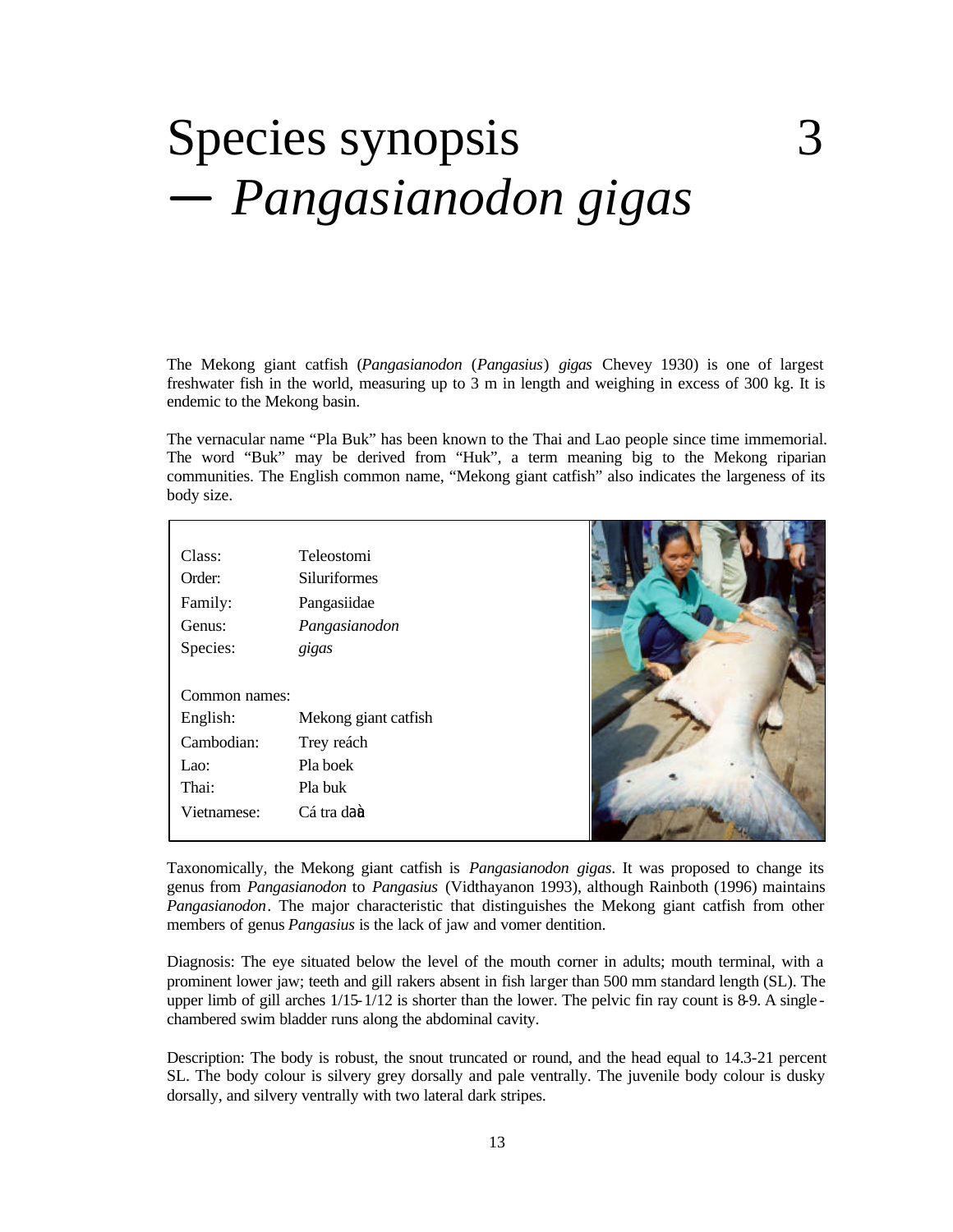## Species synopsis 3  *Pangasianodon gigas*

The Mekong giant catfish (*Pangasianodon* (*Pangasius*) *gigas* Chevey 1930) is one of largest freshwater fish in the world, measuring up to 3 m in length and weighing in excess of 300 kg. It is endemic to the Mekong basin.

The vernacular name "Pla Buk" has been known to the Thai and Lao people since time immemorial. The word "Buk" may be derived from "Huk", a term meaning big to the Mekong riparian communities. The English common name, "Mekong giant catfish" also indicates the largeness of its body size.

| Class:        | <b>Teleostomi</b>    |  |
|---------------|----------------------|--|
| Order:        | <b>Siluriformes</b>  |  |
| Family:       | Pangasiidae          |  |
| Genus:        | Pangasianodon        |  |
| Species:      | gigas                |  |
|               |                      |  |
| Common names: |                      |  |
| English:      | Mekong giant catfish |  |
| Cambodian:    | Trey reách           |  |
| Lao:          | Pla boek             |  |
| Thai:         | Pla buk              |  |
| Vietnamese:   | Cá tra daù           |  |
|               |                      |  |

Taxonomically, the Mekong giant catfish is *Pangasianodon gigas*. It was proposed to change its genus from *Pangasianodon* to *Pangasius* (Vidthayanon 1993), although Rainboth (1996) maintains *Pangasianodon*. The major characteristic that distinguishes the Mekong giant catfish from other members of genus *Pangasius* is the lack of jaw and vomer dentition.

Diagnosis: The eye situated below the level of the mouth corner in adults; mouth terminal, with a prominent lower jaw; teeth and gill rakers absent in fish larger than 500 mm standard length (SL). The upper limb of gill arches  $1/15-1/12$  is shorter than the lower. The pelvic fin ray count is 8-9. A singlechambered swim bladder runs along the abdominal cavity.

Description: The body is robust, the snout truncated or round, and the head equal to 14.3-21 percent SL. The body colour is silvery grey dorsally and pale ventrally. The juvenile body colour is dusky dorsally, and silvery ventrally with two lateral dark stripes.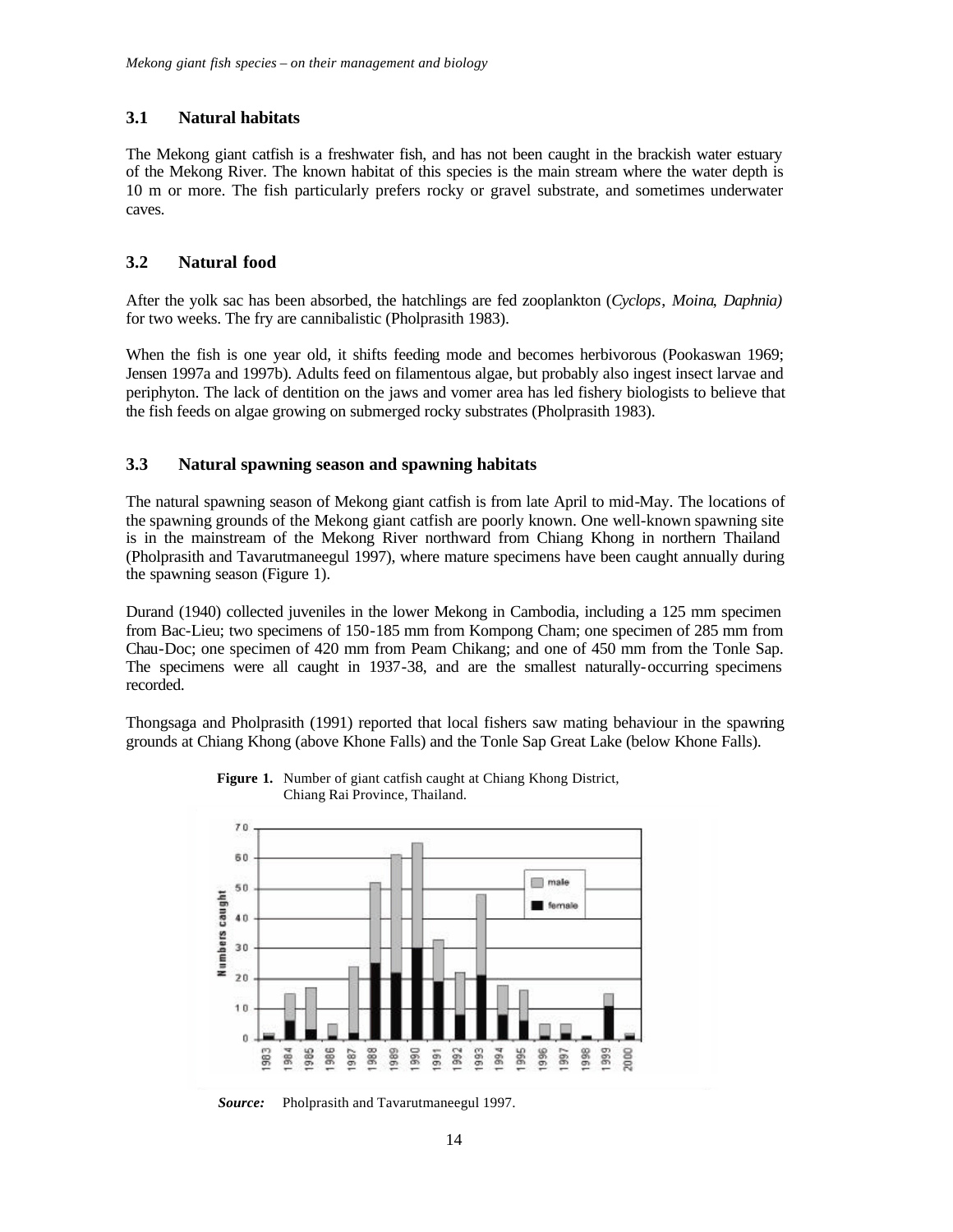#### **3.1 Natural habitats**

The Mekong giant catfish is a freshwater fish, and has not been caught in the brackish water estuary of the Mekong River. The known habitat of this species is the main stream where the water depth is 10 m or more. The fish particularly prefers rocky or gravel substrate, and sometimes underwater caves.

#### **3.2 Natural food**

After the yolk sac has been absorbed, the hatchlings are fed zooplankton (*Cyclops*, *Moina*, *Daphnia)* for two weeks. The fry are cannibalistic (Pholprasith 1983).

When the fish is one year old, it shifts feeding mode and becomes herbivorous (Pookaswan 1969; Jensen 1997a and 1997b). Adults feed on filamentous algae, but probably also ingest insect larvae and periphyton. The lack of dentition on the jaws and vomer area has led fishery biologists to believe that the fish feeds on algae growing on submerged rocky substrates (Pholprasith 1983).

#### **3.3 Natural spawning season and spawning habitats**

The natural spawning season of Mekong giant catfish is from late April to mid-May. The locations of the spawning grounds of the Mekong giant catfish are poorly known. One well-known spawning site is in the mainstream of the Mekong River northward from Chiang Khong in northern Thailand (Pholprasith and Tavarutmaneegul 1997), where mature specimens have been caught annually during the spawning season (Figure 1).

Durand (1940) collected juveniles in the lower Mekong in Cambodia, including a 125 mm specimen from Bac-Lieu; two specimens of 150-185 mm from Kompong Cham; one specimen of 285 mm from Chau-Doc; one specimen of 420 mm from Peam Chikang; and one of 450 mm from the Tonle Sap. The specimens were all caught in 1937-38, and are the smallest naturally-occurring specimens recorded.

Thongsaga and Pholprasith (1991) reported that local fishers saw mating behaviour in the spawning grounds at Chiang Khong (above Khone Falls) and the Tonle Sap Great Lake (below Khone Falls).



**Figure 1.** Number of giant catfish caught at Chiang Khong District, Chiang Rai Province, Thailand.

*Source:*Pholprasith and Tavarutmaneegul 1997.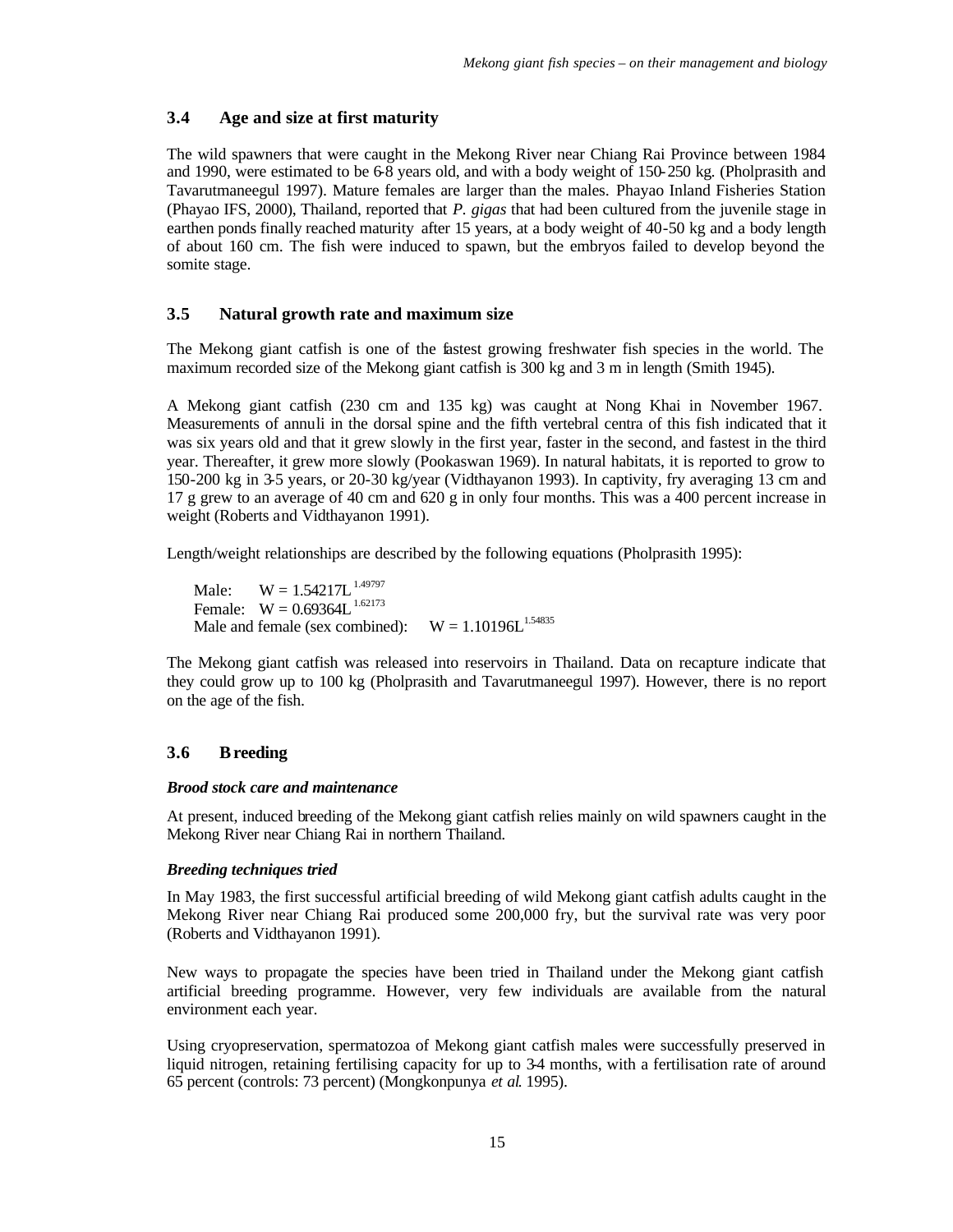#### **3.4 Age and size at first maturity**

The wild spawners that were caught in the Mekong River near Chiang Rai Province between 1984 and 1990, were estimated to be 6-8 years old, and with a body weight of 150-250 kg. (Pholprasith and Tavarutmaneegul 1997). Mature females are larger than the males. Phayao Inland Fisheries Station (Phayao IFS, 2000), Thailand, reported that *P. gigas* that had been cultured from the juvenile stage in earthen ponds finally reached maturity after 15 years, at a body weight of 40-50 kg and a body length of about 160 cm. The fish were induced to spawn, but the embryos failed to develop beyond the somite stage.

#### **3.5 Natural growth rate and maximum size**

The Mekong giant catfish is one of the fastest growing freshwater fish species in the world. The maximum recorded size of the Mekong giant catfish is 300 kg and 3 m in length (Smith 1945).

A Mekong giant catfish (230 cm and 135 kg) was caught at Nong Khai in November 1967. Measurements of annuli in the dorsal spine and the fifth vertebral centra of this fish indicated that it was six years old and that it grew slowly in the first year, faster in the second, and fastest in the third year. Thereafter, it grew more slowly (Pookaswan 1969). In natural habitats, it is reported to grow to 150-200 kg in 3-5 years, or 20-30 kg/year (Vidthayanon 1993). In captivity, fry averaging 13 cm and 17 g grew to an average of 40 cm and 620 g in only four months. This was a 400 percent increase in weight (Roberts and Vidthayanon 1991).

Length/weight relationships are described by the following equations (Pholprasith 1995):

Male:  $W = 1.54217L^{1.49797}$ Female:  $W = 0.69364L^{1.62173}$ Male and female (sex combined):  $W = 1.10196L^{1.54835}$ 

The Mekong giant catfish was released into reservoirs in Thailand. Data on recapture indicate that they could grow up to 100 kg (Pholprasith and Tavarutmaneegul 1997). However, there is no report on the age of the fish.

#### **3.6 Breeding**

#### *Brood stock care and maintenance*

At present, induced breeding of the Mekong giant catfish relies mainly on wild spawners caught in the Mekong River near Chiang Rai in northern Thailand.

#### *Breeding techniques tried*

In May 1983, the first successful artificial breeding of wild Mekong giant catfish adults caught in the Mekong River near Chiang Rai produced some 200,000 fry, but the survival rate was very poor (Roberts and Vidthayanon 1991).

New ways to propagate the species have been tried in Thailand under the Mekong giant catfish artificial breeding programme. However, very few individuals are available from the natural environment each year.

Using cryopreservation, spermatozoa of Mekong giant catfish males were successfully preserved in liquid nitrogen, retaining fertilising capacity for up to 3-4 months, with a fertilisation rate of around 65 percent (controls: 73 percent) (Mongkonpunya *et al*. 1995).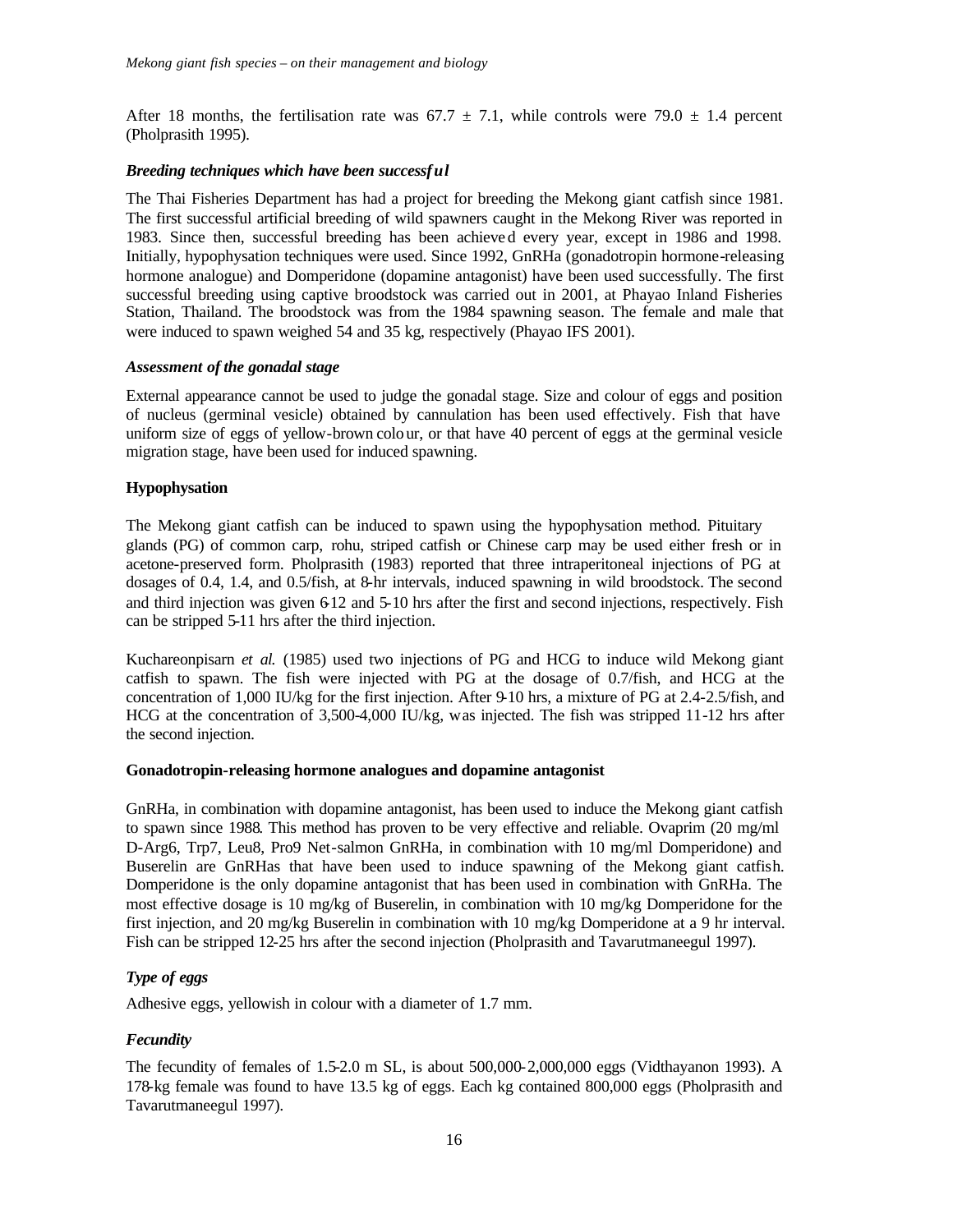After 18 months, the fertilisation rate was 67.7  $\pm$  7.1, while controls were 79.0  $\pm$  1.4 percent (Pholprasith 1995).

#### *Breeding techniques which have been successful*

The Thai Fisheries Department has had a project for breeding the Mekong giant catfish since 1981. The first successful artificial breeding of wild spawners caught in the Mekong River was reported in 1983. Since then, successful breeding has been achieve d every year, except in 1986 and 1998. Initially, hypophysation techniques were used. Since 1992, GnRHa (gonadotropin hormone-releasing hormone analogue) and Domperidone (dopamine antagonist) have been used successfully. The first successful breeding using captive broodstock was carried out in 2001, at Phayao Inland Fisheries Station, Thailand. The broodstock was from the 1984 spawning season. The female and male that were induced to spawn weighed 54 and 35 kg, respectively (Phayao IFS 2001).

#### *Assessment of the gonadal stage*

External appearance cannot be used to judge the gonadal stage. Size and colour of eggs and position of nucleus (germinal vesicle) obtained by cannulation has been used effectively. Fish that have uniform size of eggs of yellow-brown colo ur, or that have 40 percent of eggs at the germinal vesicle migration stage, have been used for induced spawning.

#### **Hypophysation**

The Mekong giant catfish can be induced to spawn using the hypophysation method. Pituitary glands (PG) of common carp, rohu, striped catfish or Chinese carp may be used either fresh or in acetone-preserved form. Pholprasith (1983) reported that three intraperitoneal injections of PG at dosages of 0.4, 1.4, and 0.5/fish, at 8-hr intervals, induced spawning in wild broodstock. The second and third injection was given 6.12 and 5-10 hrs after the first and second injections, respectively. Fish can be stripped 5-11 hrs after the third injection.

Kuchareonpisarn *et al.* (1985) used two injections of PG and HCG to induce wild Mekong giant catfish to spawn. The fish were injected with PG at the dosage of 0.7/fish, and HCG at the concentration of 1,000 IU/kg for the first injection. After 9-10 hrs, a mixture of PG at 2.4-2.5/fish, and HCG at the concentration of 3,500-4,000 IU/kg, was injected. The fish was stripped 11-12 hrs after the second injection.

#### **Gonadotropin-releasing hormone analogues and dopamine antagonist**

GnRHa, in combination with dopamine antagonist, has been used to induce the Mekong giant catfish to spawn since 1988. This method has proven to be very effective and reliable. Ovaprim (20 mg/ml D-Arg6, Trp7, Leu8, Pro9 Net-salmon GnRHa, in combination with 10 mg/ml Domperidone) and Buserelin are GnRHas that have been used to induce spawning of the Mekong giant catfish. Domperidone is the only dopamine antagonist that has been used in combination with GnRHa. The most effective dosage is 10 mg/kg of Buserelin, in combination with 10 mg/kg Domperidone for the first injection, and 20 mg/kg Buserelin in combination with 10 mg/kg Domperidone at a 9 hr interval. Fish can be stripped 12-25 hrs after the second injection (Pholprasith and Tavarutmaneegul 1997).

#### *Type of eggs*

Adhesive eggs, yellowish in colour with a diameter of 1.7 mm.

#### *Fecundity*

The fecundity of females of 1.5-2.0 m SL, is about 500,000-2,000,000 eggs (Vidthayanon 1993). A 178-kg female was found to have 13.5 kg of eggs. Each kg contained 800,000 eggs (Pholprasith and Tavarutmaneegul 1997).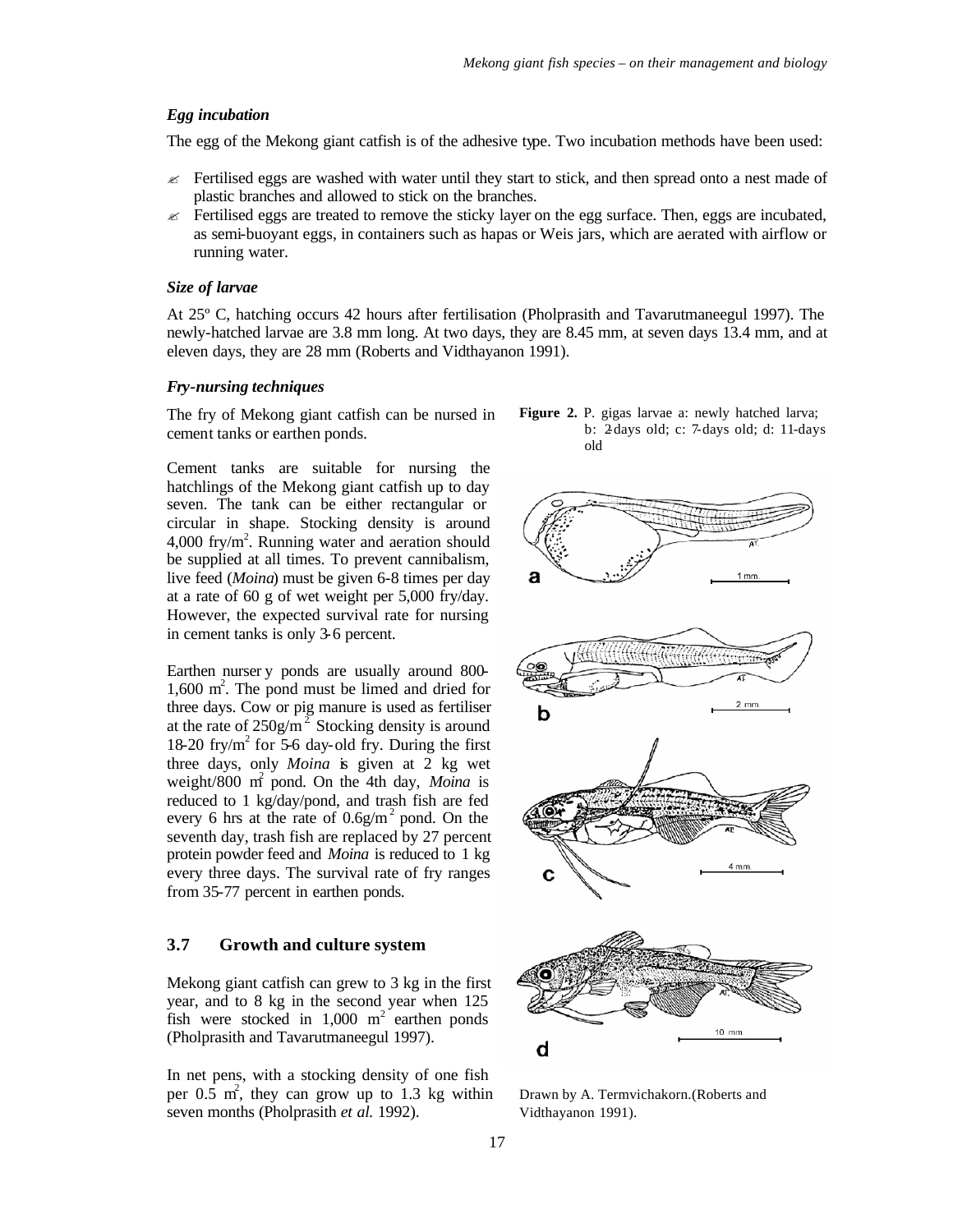#### *Egg incubation*

The egg of the Mekong giant catfish is of the adhesive type. Two incubation methods have been used:

- $\epsilon$  Fertilised eggs are washed with water until they start to stick, and then spread onto a nest made of plastic branches and allowed to stick on the branches.
- $\epsilon$  Fertilised eggs are treated to remove the sticky layer on the egg surface. Then, eggs are incubated, as semi-buoyant eggs, in containers such as hapas or Weis jars, which are aerated with airflow or running water.

#### *Size of larvae*

At 25º C, hatching occurs 42 hours after fertilisation (Pholprasith and Tavarutmaneegul 1997). The newly-hatched larvae are 3.8 mm long. At two days, they are 8.45 mm, at seven days 13.4 mm, and at eleven days, they are 28 mm (Roberts and Vidthayanon 1991).

#### *Fry-nursing techniques*

The fry of Mekong giant catfish can be nursed in cement tanks or earthen ponds.

Cement tanks are suitable for nursing the hatchlings of the Mekong giant catfish up to day seven. The tank can be either rectangular or circular in shape. Stocking density is around  $4,000$  fry/m<sup>2</sup>. Running water and aeration should be supplied at all times. To prevent cannibalism, live feed (*Moina*) must be given 6-8 times per day at a rate of 60 g of wet weight per 5,000 fry/day. However, the expected survival rate for nursing in cement tanks is only 3-6 percent.

Earthen nurser y ponds are usually around 800- 1,600 m<sup>2</sup>. The pond must be limed and dried for three days. Cow or pig manure is used as fertiliser at the rate of  $250g/m^2$  Stocking density is around  $18-20$  fry/m<sup>2</sup> for 5-6 day-old fry. During the first three days, only *Moina* is given at 2 kg wet weight/800 m<sup>2</sup> pond. On the 4th day, *Moina* is reduced to 1 kg/day/pond, and trash fish are fed every 6 hrs at the rate of  $0.6g/m^2$  pond. On the seventh day, trash fish are replaced by 27 percent protein powder feed and *Moina* is reduced to 1 kg every three days. The survival rate of fry ranges from 35-77 percent in earthen ponds.

#### **3.7 Growth and culture system**

Mekong giant catfish can grew to 3 kg in the first year, and to 8 kg in the second year when 125 fish were stocked in  $1,000 \text{ m}^2$  earthen ponds (Pholprasith and Tavarutmaneegul 1997).

In net pens, with a stocking density of one fish per  $0.\overline{5}$  m<sup>2</sup>, they can grow up to 1.3 kg within seven months (Pholprasith *et al.* 1992).





Drawn by A. Termvichakorn.(Roberts and Vidthayanon 1991).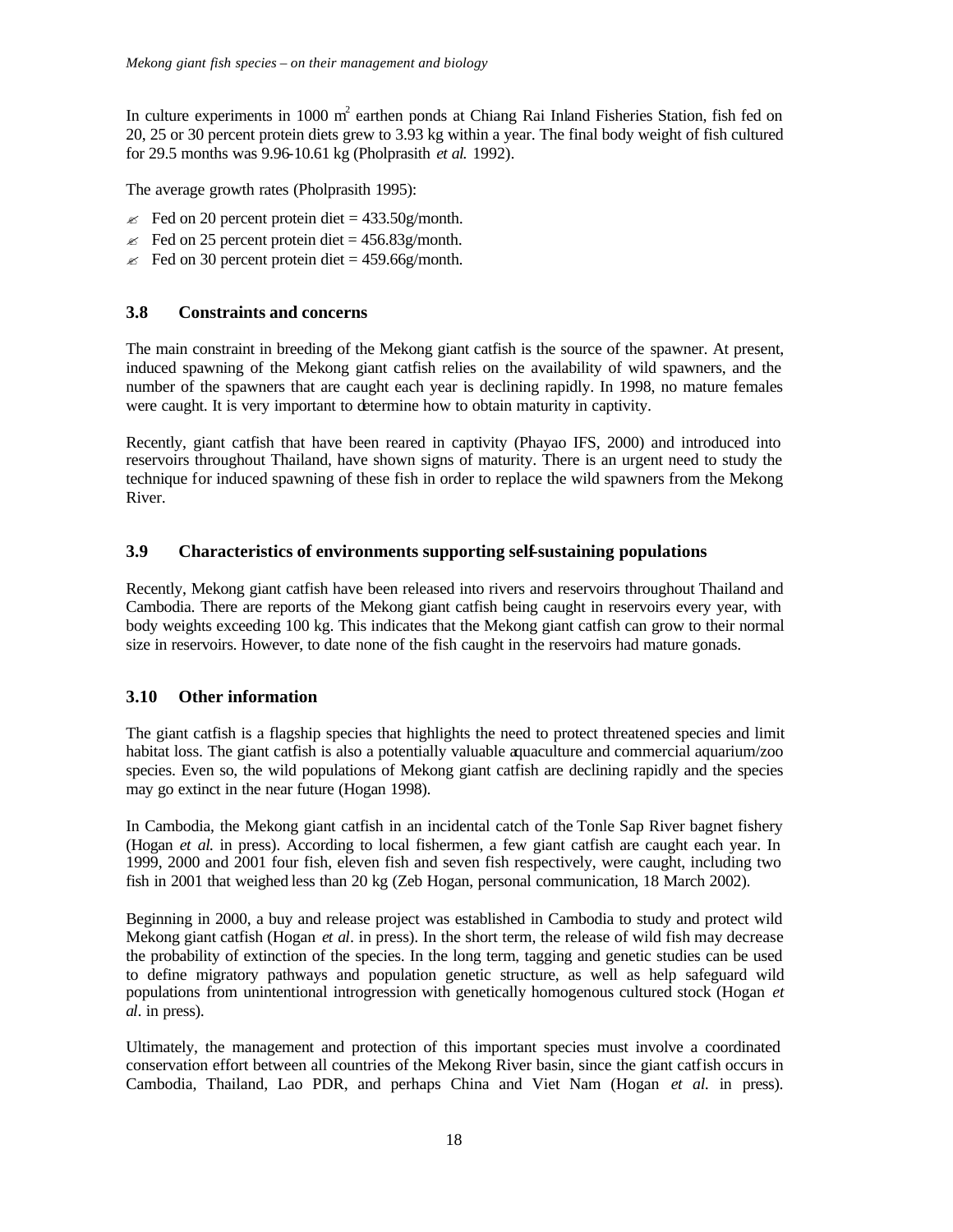In culture experiments in 1000  $m^2$  earthen ponds at Chiang Rai Inland Fisheries Station, fish fed on 20, 25 or 30 percent protein diets grew to 3.93 kg within a year. The final body weight of fish cultured for 29.5 months was 9.96-10.61 kg (Pholprasith *et al.* 1992).

The average growth rates (Pholprasith 1995):

- $\approx$  Fed on 20 percent protein diet = 433.50g/month.
- $\le$  Fed on 25 percent protein diet = 456.83g/month.
- $\le$  Fed on 30 percent protein diet = 459.66g/month.

#### **3.8 Constraints and concerns**

The main constraint in breeding of the Mekong giant catfish is the source of the spawner. At present, induced spawning of the Mekong giant catfish relies on the availability of wild spawners, and the number of the spawners that are caught each year is declining rapidly. In 1998, no mature females were caught. It is very important to determine how to obtain maturity in captivity.

Recently, giant catfish that have been reared in captivity (Phayao IFS, 2000) and introduced into reservoirs throughout Thailand, have shown signs of maturity. There is an urgent need to study the technique for induced spawning of these fish in order to replace the wild spawners from the Mekong River.

#### **3.9 Characteristics of environments supporting self-sustaining populations**

Recently, Mekong giant catfish have been released into rivers and reservoirs throughout Thailand and Cambodia. There are reports of the Mekong giant catfish being caught in reservoirs every year, with body weights exceeding 100 kg. This indicates that the Mekong giant catfish can grow to their normal size in reservoirs. However, to date none of the fish caught in the reservoirs had mature gonads.

#### **3.10 Other information**

The giant catfish is a flagship species that highlights the need to protect threatened species and limit habitat loss. The giant catfish is also a potentially valuable aquaculture and commercial aquarium/zoo species. Even so, the wild populations of Mekong giant catfish are declining rapidly and the species may go extinct in the near future (Hogan 1998).

In Cambodia, the Mekong giant catfish in an incidental catch of the Tonle Sap River bagnet fishery (Hogan *et al.* in press). According to local fishermen, a few giant catfish are caught each year. In 1999, 2000 and 2001 four fish, eleven fish and seven fish respectively, were caught, including two fish in 2001 that weighed less than 20 kg (Zeb Hogan, personal communication, 18 March 2002).

Beginning in 2000, a buy and release project was established in Cambodia to study and protect wild Mekong giant catfish (Hogan *et al*. in press). In the short term, the release of wild fish may decrease the probability of extinction of the species. In the long term, tagging and genetic studies can be used to define migratory pathways and population genetic structure, as well as help safeguard wild populations from unintentional introgression with genetically homogenous cultured stock (Hogan *et al*. in press).

Ultimately, the management and protection of this important species must involve a coordinated conservation effort between all countries of the Mekong River basin, since the giant catfish occurs in Cambodia, Thailand, Lao PDR, and perhaps China and Viet Nam (Hogan *et al*. in press).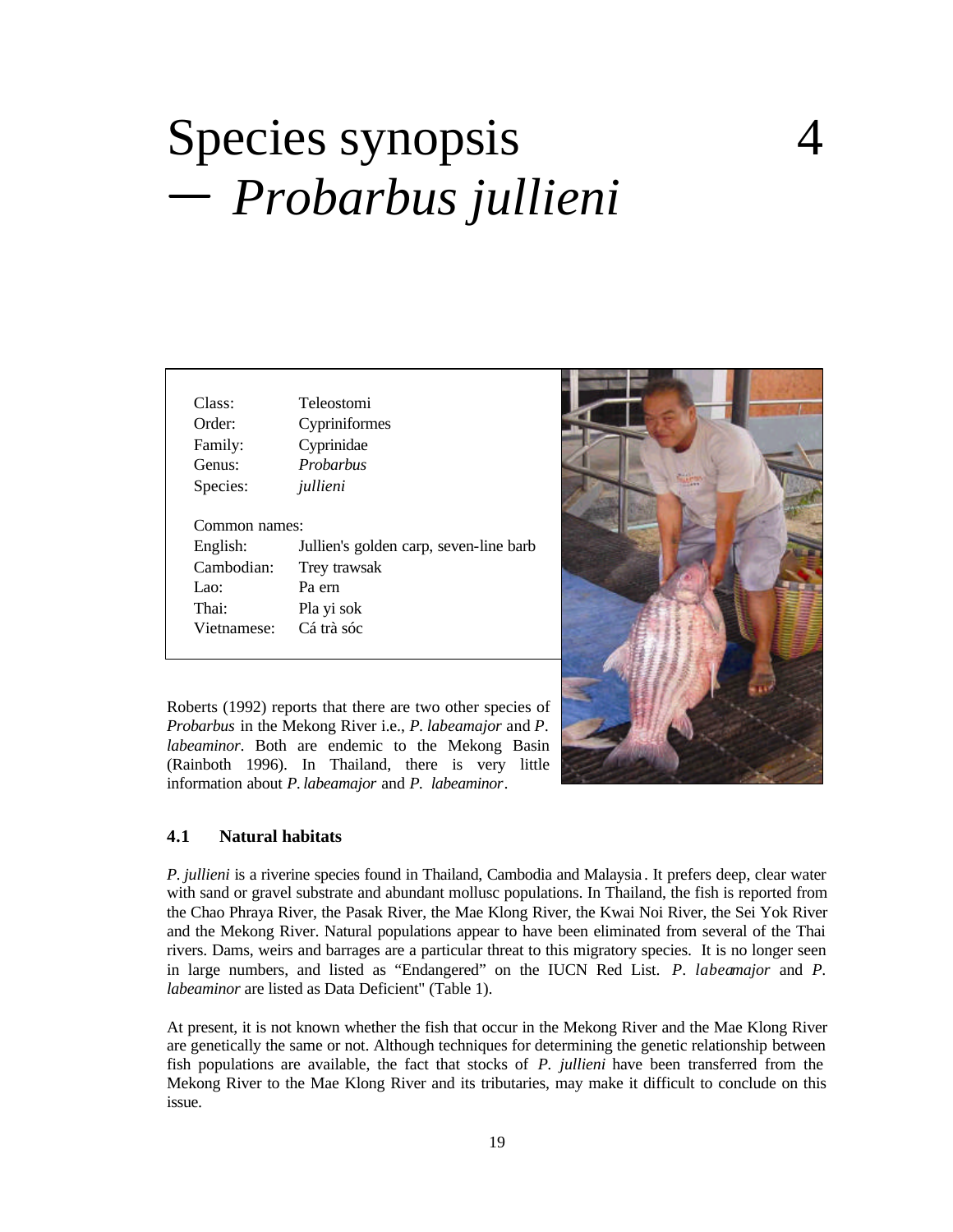# Species synopsis  *Probarbus jullieni*

| Class:               | Teleostomi                             |
|----------------------|----------------------------------------|
| Order:               | Cypriniformes                          |
| Family:              | Cyprinidae                             |
| Genus:               | Probarbus                              |
| Species:             | jullieni                               |
|                      |                                        |
| Common names:        |                                        |
| English:             | Jullien's golden carp, seven-line barb |
| Cambodian:           | Trey trawsak                           |
| Lao:                 | Pa ern                                 |
| Thai:<br>Vietnamese: | Pla yi sok<br>Cá trà sóc               |



Roberts (1992) reports that there are two other species of *Probarbus* in the Mekong River i.e., *P. labeamajor* and *P. labeaminor*. Both are endemic to the Mekong Basin (Rainboth 1996). In Thailand, there is very little information about *P. labeamajor* and *P. labeaminor*.

#### **4.1 Natural habitats**

*P. jullieni* is a riverine species found in Thailand, Cambodia and Malaysia . It prefers deep, clear water with sand or gravel substrate and abundant mollusc populations. In Thailand, the fish is reported from the Chao Phraya River, the Pasak River, the Mae Klong River, the Kwai Noi River, the Sei Yok River and the Mekong River. Natural populations appear to have been eliminated from several of the Thai rivers. Dams, weirs and barrages are a particular threat to this migratory species. It is no longer seen in large numbers, and listed as "Endangered" on the IUCN Red List. *P. labeamajor* and *P. labeaminor* are listed as Data Deficient" (Table 1).

At present, it is not known whether the fish that occur in the Mekong River and the Mae Klong River are genetically the same or not. Although techniques for determining the genetic relationship between fish populations are available, the fact that stocks of *P. jullieni* have been transferred from the Mekong River to the Mae Klong River and its tributaries, may make it difficult to conclude on this issue.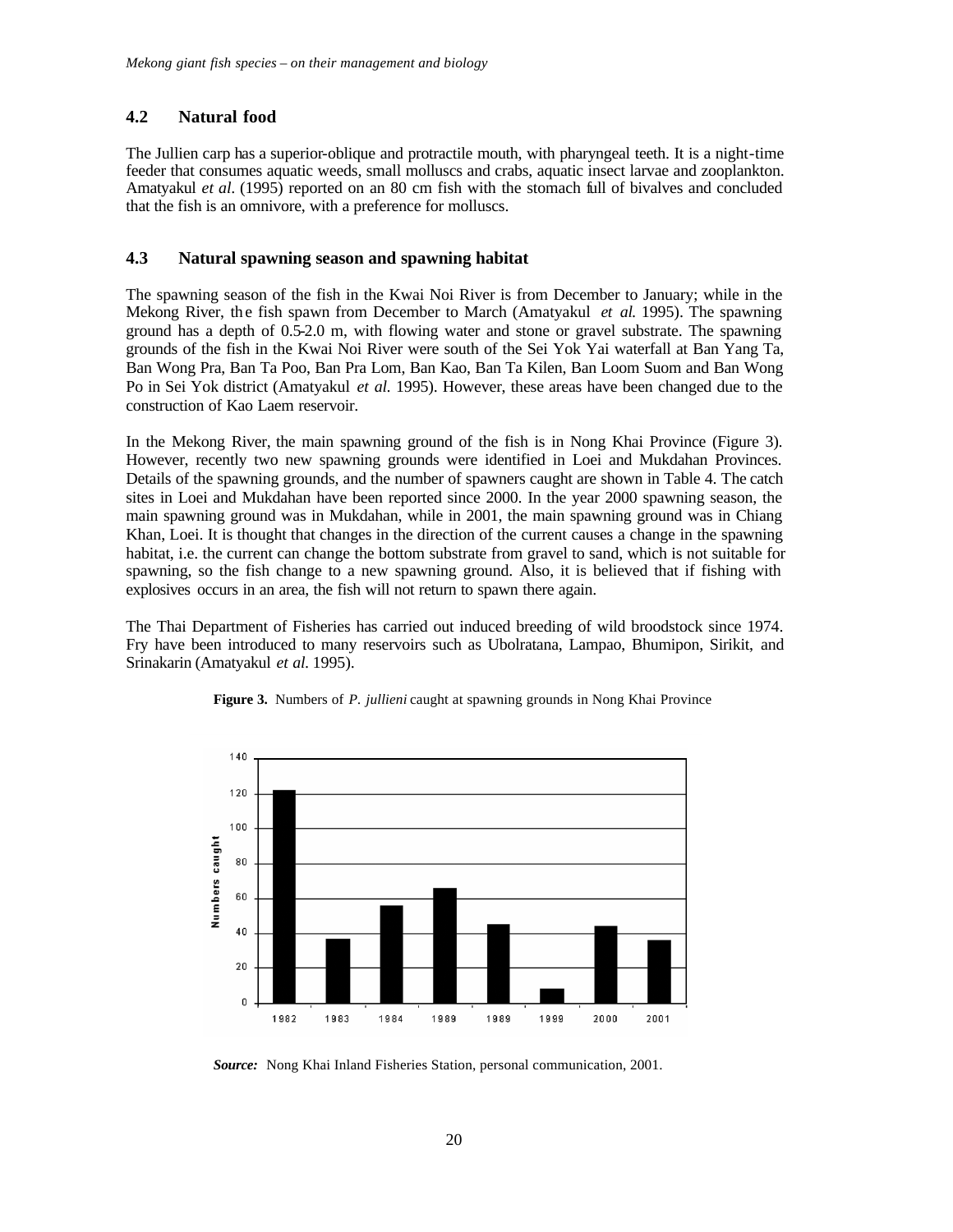#### **4.2 Natural food**

The Jullien carp has a superior-oblique and protractile mouth, with pharyngeal teeth. It is a night-time feeder that consumes aquatic weeds, small molluscs and crabs, aquatic insect larvae and zooplankton. Amatyakul *et al.* (1995) reported on an 80 cm fish with the stomach full of bivalves and concluded that the fish is an omnivore, with a preference for molluscs.

#### **4.3 Natural spawning season and spawning habitat**

The spawning season of the fish in the Kwai Noi River is from December to January; while in the Mekong River, the fish spawn from December to March (Amatyakul *et al.* 1995). The spawning ground has a depth of 0.5-2.0 m, with flowing water and stone or gravel substrate. The spawning grounds of the fish in the Kwai Noi River were south of the Sei Yok Yai waterfall at Ban Yang Ta, Ban Wong Pra, Ban Ta Poo, Ban Pra Lom, Ban Kao, Ban Ta Kilen, Ban Loom Suom and Ban Wong Po in Sei Yok district (Amatyakul *et al.* 1995). However, these areas have been changed due to the construction of Kao Laem reservoir.

In the Mekong River, the main spawning ground of the fish is in Nong Khai Province (Figure 3). However, recently two new spawning grounds were identified in Loei and Mukdahan Provinces. Details of the spawning grounds, and the number of spawners caught are shown in Table 4. The catch sites in Loei and Mukdahan have been reported since 2000. In the year 2000 spawning season, the main spawning ground was in Mukdahan, while in 2001, the main spawning ground was in Chiang Khan, Loei. It is thought that changes in the direction of the current causes a change in the spawning habitat, i.e. the current can change the bottom substrate from gravel to sand, which is not suitable for spawning, so the fish change to a new spawning ground. Also, it is believed that if fishing with explosives occurs in an area, the fish will not return to spawn there again.

The Thai Department of Fisheries has carried out induced breeding of wild broodstock since 1974. Fry have been introduced to many reservoirs such as Ubolratana, Lampao, Bhumipon, Sirikit, and Srinakarin (Amatyakul *et al.* 1995).





*Source:* Nong Khai Inland Fisheries Station, personal communication, 2001.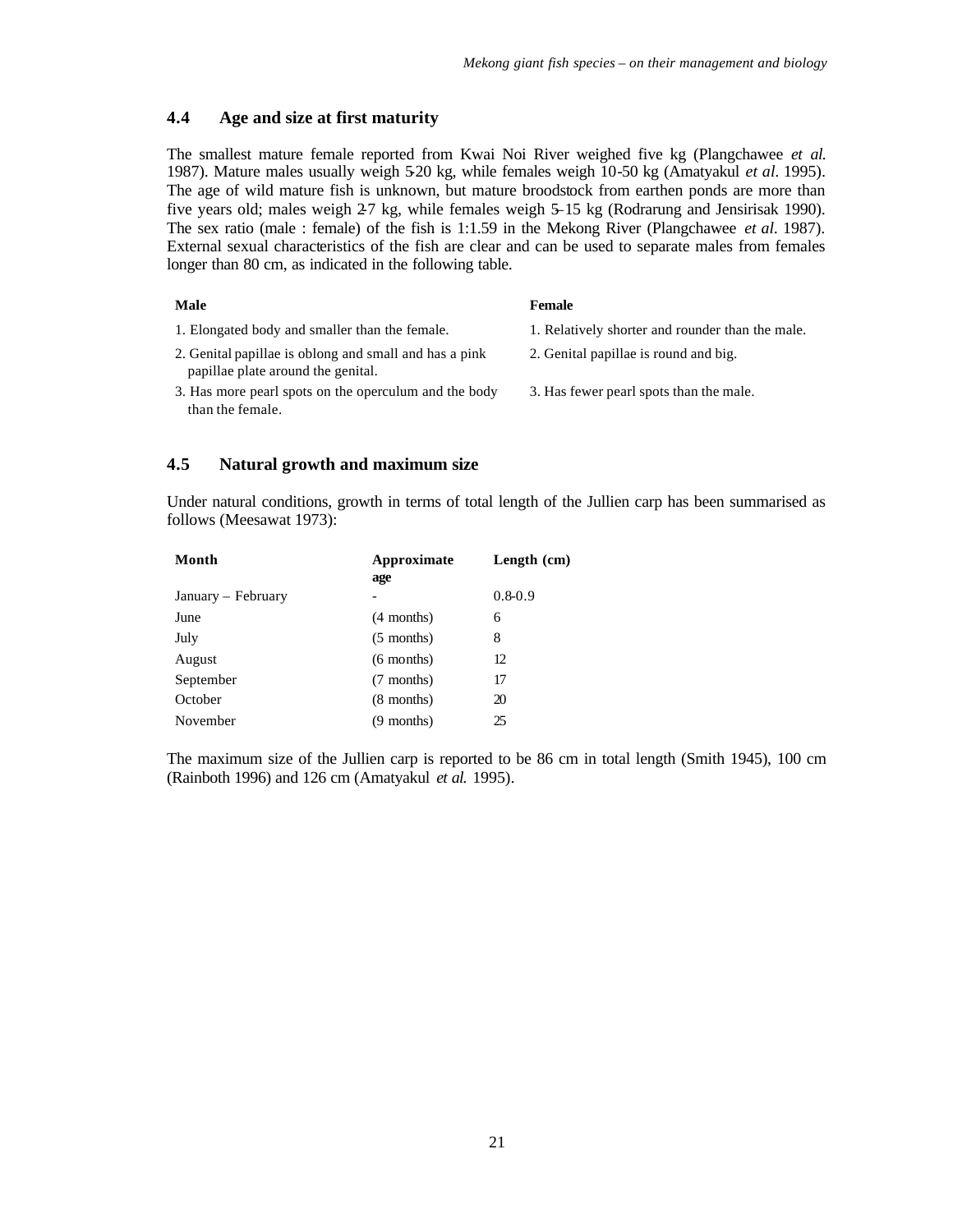#### **4.4 Age and size at first maturity**

The smallest mature female reported from Kwai Noi River weighed five kg (Plangchawee *et al.* 1987). Mature males usually weigh 5-20 kg, while females weigh 10-50 kg (Amatyakul *et al.* 1995). The age of wild mature fish is unknown, but mature broodstock from earthen ponds are more than five years old; males weigh 27 kg, while females weigh 5-15 kg (Rodrarung and Jensirisak 1990). The sex ratio (male : female) of the fish is 1:1.59 in the Mekong River (Plangchawee *et al.* 1987). External sexual characteristics of the fish are clear and can be used to separate males from females longer than 80 cm, as indicated in the following table.

#### **Male Female** 1. Elongated body and smaller than the female. 1. Relatively shorter and rounder than the male. 2. Genital papillae is oblong and small and has a pink papillae plate around the genital. 2. Genital papillae is round and big. 3. Has more pearl spots on the operculum and the body than the female. 3. Has fewer pearl spots than the male.

#### **4.5 Natural growth and maximum size**

Under natural conditions, growth in terms of total length of the Jullien carp has been summarised as follows (Meesawat 1973):

| Month              | Approximate<br>age | Length $(cm)$ |
|--------------------|--------------------|---------------|
| January - February |                    | $0.8 - 0.9$   |
| June               | $(4$ months)       | 6             |
| July               | $(5$ months)       | 8             |
| August             | $(6$ months)       | 12            |
| September          | (7 months)         | 17            |
| October            | $(8$ months)       | 20            |
| November           | (9 months)         | 25            |

The maximum size of the Jullien carp is reported to be 86 cm in total length (Smith 1945), 100 cm (Rainboth 1996) and 126 cm (Amatyakul *et al.* 1995).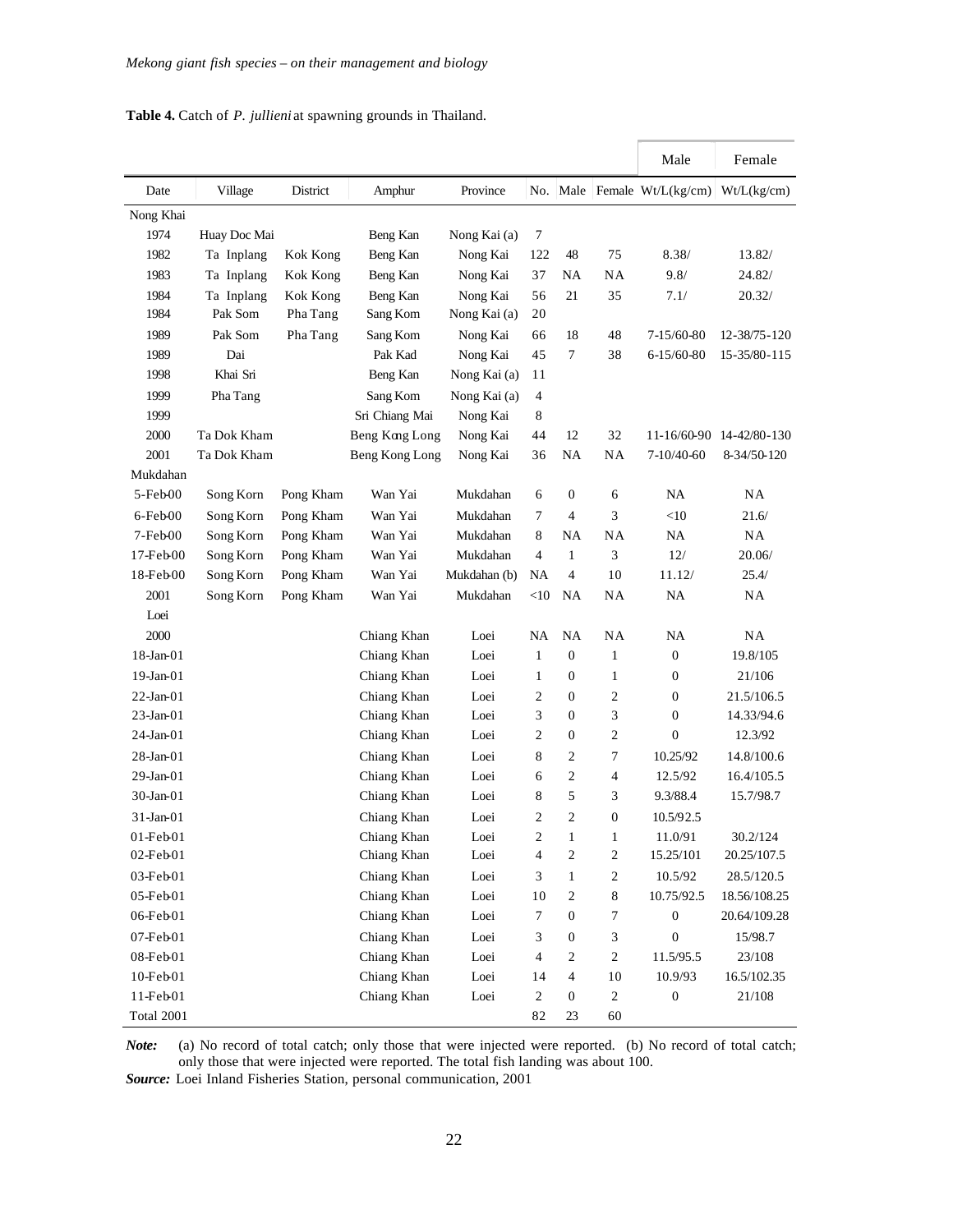#### **Table 4.** Catch of *P. jullieni* at spawning grounds in Thailand.

|                      |              |           |                |              |                |                         |                  | Male                          | Female                   |
|----------------------|--------------|-----------|----------------|--------------|----------------|-------------------------|------------------|-------------------------------|--------------------------|
| Date                 | Village      | District  | Amphur         | Province     |                |                         |                  | No. Male Female $Wt/L(kg/cm)$ | Wt/L(kg/cm)              |
| Nong Khai            |              |           |                |              |                |                         |                  |                               |                          |
| 1974                 | Huay Doc Mai |           | Beng Kan       | Nong Kai (a) | 7              |                         |                  |                               |                          |
| 1982                 | Ta Inplang   | Kok Kong  | Beng Kan       | Nong Kai     | 122            | 48                      | 75               | 8.38/                         | 13.82/                   |
| 1983                 | Ta Inplang   | Kok Kong  | Beng Kan       | Nong Kai     | 37             | NA                      | NA               | 9.8/                          | 24.82/                   |
| 1984                 | Ta Inplang   | Kok Kong  | Beng Kan       | Nong Kai     | 56             | 21                      | 35               | 7.1/                          | 20.32/                   |
| 1984                 | Pak Som      | Pha Tang  | Sang Kom       | Nong Kai (a) | 20             |                         |                  |                               |                          |
| 1989                 | Pak Som      | Pha Tang  | Sang Kom       | Nong Kai     | 66             | 18                      | 48               | 7-15/60-80                    | 12-38/75-120             |
| 1989                 | Dai          |           | Pak Kad        | Nong Kai     | 45             | 7                       | 38               | $6 - 15/60 - 80$              | 15-35/80-115             |
| 1998                 | Khai Sri     |           | Beng Kan       | Nong Kai (a) | 11             |                         |                  |                               |                          |
| 1999                 | Pha Tang     |           | Sang Kom       | Nong Kai (a) | 4              |                         |                  |                               |                          |
| 1999                 |              |           | Sri Chiang Mai | Nong Kai     | 8              |                         |                  |                               |                          |
| 2000                 | Ta Dok Kham  |           | Beng Kong Long | Nong Kai     | 44             | 12                      | 32               |                               | 11-16/60-90 14-42/80-130 |
| 2001                 | Ta Dok Kham  |           | Beng Kong Long | Nong Kai     | 36             | NA                      | NA               | 7-10/40-60                    | 8-34/50-120              |
| Mukdahan             |              |           |                |              |                |                         |                  |                               |                          |
| 5-Feb00              | Song Korn    | Pong Kham | Wan Yai        | Mukdahan     | 6              | 0                       | 6                | NA                            | <b>NA</b>                |
| 6-Feb00              | Song Korn    | Pong Kham | Wan Yai        | Mukdahan     | 7              | 4                       | 3                | $<$ 10                        | 21.6/                    |
| 7-Feb00              | Song Korn    | Pong Kham | Wan Yai        | Mukdahan     | 8              | NA                      | NA               | NA                            | NA.                      |
| $17 - \text{Feb} 00$ | Song Korn    | Pong Kham | Wan Yai        | Mukdahan     | $\overline{4}$ | 1                       | 3                | 12/                           | 20.06/                   |
| $18 - \text{Feb} 00$ | Song Korn    | Pong Kham | Wan Yai        | Mukdahan (b) | NA             | $\overline{4}$          | 10               | 11.12/                        | 25.4/                    |
| 2001                 | Song Korn    | Pong Kham | Wan Yai        | Mukdahan     | $<$ 10         | <b>NA</b>               | NA               | NA                            | NA                       |
| Loei                 |              |           |                |              |                |                         |                  |                               |                          |
| 2000                 |              |           | Chiang Khan    | Loei         | NA             | <b>NA</b>               | NA               | NA                            | NA                       |
| 18-Jan-01            |              |           | Chiang Khan    | Loei         | 1              | $\boldsymbol{0}$        | 1                | $\boldsymbol{0}$              | 19.8/105                 |
| 19-Jan-01            |              |           | Chiang Khan    | Loei         | 1              | 0                       | 1                | $\boldsymbol{0}$              | 21/106                   |
| 22-Jan-01            |              |           | Chiang Khan    | Loei         | 2              | $\mathbf{0}$            | 2                | $\mathbf{0}$                  | 21.5/106.5               |
| 23-Jan-01            |              |           | Chiang Khan    | Loei         | 3              | 0                       | 3                | $\boldsymbol{0}$              | 14.33/94.6               |
| 24-Jan-01            |              |           | Chiang Khan    | Loei         | 2              | $\boldsymbol{0}$        | 2                | $\mathbf{0}$                  | 12.3/92                  |
| 28-Jan-01            |              |           | Chiang Khan    | Loei         | 8              | 2                       | 7                | 10.25/92                      | 14.8/100.6               |
| 29-Jan-01            |              |           | Chiang Khan    | Loei         | 6              | $\overline{c}$          | $\overline{4}$   | 12.5/92                       | 16.4/105.5               |
| 30-Jan-01            |              |           | Chiang Khan    | Loei         | 8              | 5                       | 3                | 9.3/88.4                      | 15.7/98.7                |
| 31-Jan-01            |              |           | Chiang Khan    | Loei         | $\overline{c}$ | $\overline{c}$          | $\boldsymbol{0}$ | 10.5/92.5                     |                          |
| $01$ -Feb $01$       |              |           | Chiang Khan    | Loei         | $\overline{c}$ | $\mathbf{1}$            | 1                | 11.0/91                       | 30.2/124                 |
| $02$ -Feb $01$       |              |           | Chiang Khan    | Loei         | 4              | $\sqrt{2}$              | $\overline{c}$   | 15.25/101                     | 20.25/107.5              |
| 03-Feb01             |              |           | Chiang Khan    | Loei         | 3              | $\mathbf{1}$            | $\sqrt{2}$       | 10.5/92                       | 28.5/120.5               |
| 05-Feb01             |              |           | Chiang Khan    | Loei         | $10\,$         | $\boldsymbol{2}$        | $\,8\,$          | 10.75/92.5                    | 18.56/108.25             |
| 06-Feb01             |              |           | Chiang Khan    | Loei         | 7              | $\boldsymbol{0}$        | 7                | $\boldsymbol{0}$              | 20.64/109.28             |
| 07-Feb01             |              |           | Chiang Khan    | Loei         | 3              | $\boldsymbol{0}$        | 3                | $\boldsymbol{0}$              | 15/98.7                  |
| 08-Feb01             |              |           | Chiang Khan    | Loei         | $\overline{4}$ | $\sqrt{2}$              | $\sqrt{2}$       | 11.5/95.5                     | 23/108                   |
| $10-Feb01$           |              |           | Chiang Khan    | Loei         | 14             | $\overline{\mathbf{4}}$ | 10               | 10.9/93                       | 16.5/102.35              |
| 11-Feb01             |              |           | Chiang Khan    | Loei         | $\sqrt{2}$     | $\boldsymbol{0}$        | $\sqrt{2}$       | $\boldsymbol{0}$              | 21/108                   |
| Total 2001           |              |           |                |              | 82             | 23                      | $60\,$           |                               |                          |

*Note:* (a) No record of total catch; only those that were injected were reported. (b) No record of total catch; only those that were injected were reported. The total fish landing was about 100.

*Source:* Loei Inland Fisheries Station, personal communication, 2001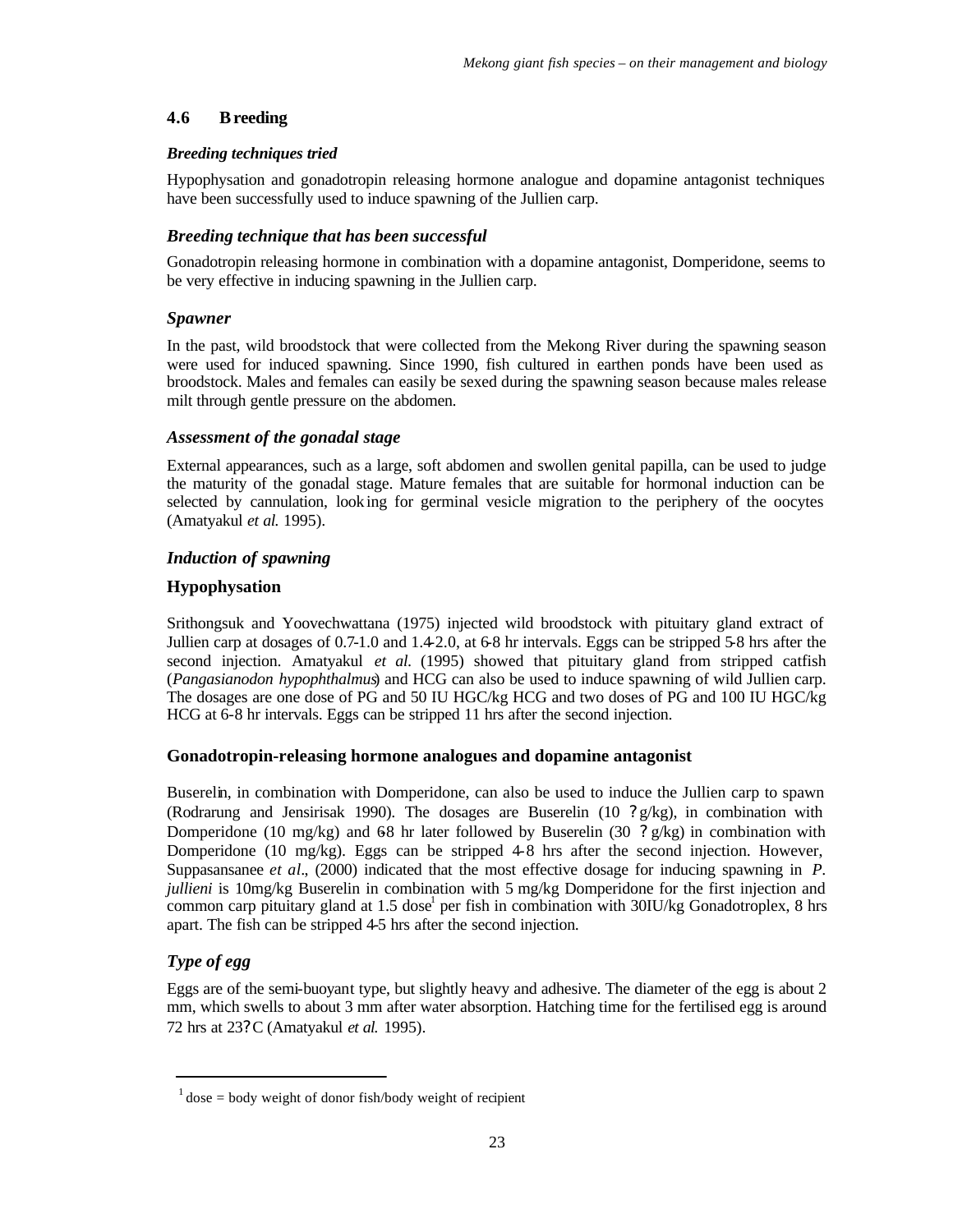#### **4.6 Breeding**

#### *Breeding techniques tried*

Hypophysation and gonadotropin releasing hormone analogue and dopamine antagonist techniques have been successfully used to induce spawning of the Jullien carp.

#### *Breeding technique that has been successful*

Gonadotropin releasing hormone in combination with a dopamine antagonist, Domperidone, seems to be very effective in inducing spawning in the Jullien carp.

#### *Spawner*

In the past, wild broodstock that were collected from the Mekong River during the spawning season were used for induced spawning. Since 1990, fish cultured in earthen ponds have been used as broodstock. Males and females can easily be sexed during the spawning season because males release milt through gentle pressure on the abdomen.

#### *Assessment of the gonadal stage*

External appearances, such as a large, soft abdomen and swollen genital papilla, can be used to judge the maturity of the gonadal stage. Mature females that are suitable for hormonal induction can be selected by cannulation, looking for germinal vesicle migration to the periphery of the oocytes (Amatyakul *et al.* 1995).

#### *Induction of spawning*

#### **Hypophysation**

Srithongsuk and Yoovechwattana (1975) injected wild broodstock with pituitary gland extract of Jullien carp at dosages of 0.7-1.0 and 1.4-2.0, at 6-8 hr intervals. Eggs can be stripped 5-8 hrs after the second injection. Amatyakul *et al.* (1995) showed that pituitary gland from stripped catfish (*Pangasianodon hypophthalmus*) and HCG can also be used to induce spawning of wild Jullien carp. The dosages are one dose of PG and 50 IU HGC/kg HCG and two doses of PG and 100 IU HGC/kg HCG at 6-8 hr intervals. Eggs can be stripped 11 hrs after the second injection.

#### **Gonadotropin-releasing hormone analogues and dopamine antagonist**

Buserelin, in combination with Domperidone, can also be used to induce the Jullien carp to spawn (Rodrarung and Jensirisak 1990). The dosages are Buserelin (10 **?** g/kg), in combination with Domperidone (10 mg/kg) and 68 hr later followed by Buserelin (30  $\textbf{?} g/kg$ ) in combination with Domperidone (10 mg/kg). Eggs can be stripped 4-8 hrs after the second injection. However, Suppasansanee *et al.*, (2000) indicated that the most effective dosage for inducing spawning in *P. jullieni* is 10mg/kg Buserelin in combination with 5 mg/kg Domperidone for the first injection and common carp pituitary gland at 1.5 dose per fish in combination with 30IU/kg Gonadotroplex, 8 hrs apart. The fish can be stripped 4-5 hrs after the second injection.

#### *Type of egg*

Eggs are of the semi-buoyant type, but slightly heavy and adhesive. The diameter of the egg is about 2 mm, which swells to about 3 mm after water absorption. Hatching time for the fertilised egg is around 72 hrs at 23? C (Amatyakul *et al.* 1995).

 $1$  dose = body weight of donor fish/body weight of recipient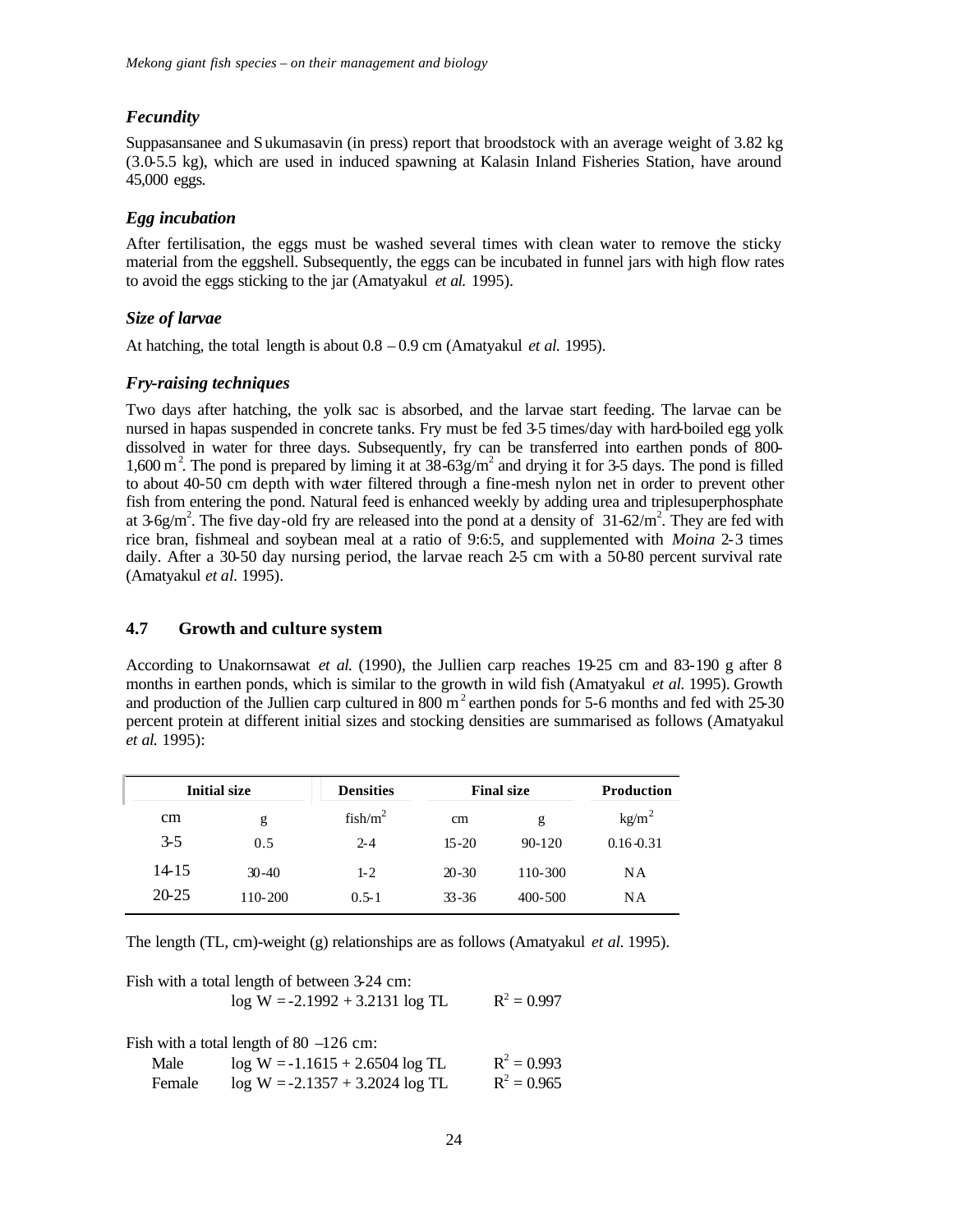#### *Fecundity*

Suppasansanee and Sukumasavin (in press) report that broodstock with an average weight of 3.82 kg (3.0-5.5 kg), which are used in induced spawning at Kalasin Inland Fisheries Station, have around 45,000 eggs.

#### *Egg incubation*

After fertilisation, the eggs must be washed several times with clean water to remove the sticky material from the eggshell. Subsequently, the eggs can be incubated in funnel jars with high flow rates to avoid the eggs sticking to the jar (Amatyakul *et al.* 1995).

#### *Size of larvae*

At hatching, the total length is about 0.8 – 0.9 cm (Amatyakul *et al.* 1995).

#### *Fry-raising techniques*

Two days after hatching, the yolk sac is absorbed, and the larvae start feeding. The larvae can be nursed in hapas suspended in concrete tanks. Fry must be fed 3-5 times/day with hard-boiled egg yolk dissolved in water for three days. Subsequently, fry can be transferred into earthen ponds of 800- 1,600 m<sup>2</sup>. The pond is prepared by liming it at  $38-63g/m^2$  and drying it for 3-5 days. The pond is filled to about 40-50 cm depth with water filtered through a fine-mesh nylon net in order to prevent other fish from entering the pond. Natural feed is enhanced weekly by adding urea and triplesuperphosphate at  $3-6g/m^2$ . The five day-old fry are released into the pond at a density of  $31-62/m^2$ . They are fed with rice bran, fishmeal and soybean meal at a ratio of 9:6:5, and supplemented with *Moina* 2-3 times daily. After a 30-50 day nursing period, the larvae reach 2-5 cm with a 50-80 percent survival rate (Amatyakul *et al.* 1995).

#### **4.7 Growth and culture system**

According to Unakornsawat *et al.* (1990), the Jullien carp reaches 19-25 cm and 83-190 g after 8 months in earthen ponds, which is similar to the growth in wild fish (Amatyakul *et al.* 1995). Growth and production of the Jullien carp cultured in  $800 \text{ m}^2$  earthen ponds for 5-6 months and fed with  $25-30$ percent protein at different initial sizes and stocking densities are summarised as follows (Amatyakul *et al.* 1995):

|           | <b>Initial size</b> |            | <b>Final size</b> |             | <b>Production</b> |
|-----------|---------------------|------------|-------------------|-------------|-------------------|
| cm        | g                   | $fish/m^2$ | cm                | g           | kg/m <sup>2</sup> |
| $3 - 5$   | 0.5                 | $2 - 4$    | $15 - 20$         | $90 - 120$  | $0.16 - 0.31$     |
| 14-15     | $30-40$             | $1 - 2$    | $20 - 30$         | 110-300     | <b>NA</b>         |
| $20 - 25$ | $110 - 200$         | $0.5 - 1$  | $33 - 36$         | $400 - 500$ | <b>NA</b>         |

The length (TL, cm)-weight (g) relationships are as follows (Amatyakul *et al.* 1995).

|                | Fish with a total length of between 3-24 cm:<br>$log W = -2.1992 + 3.2131 log TL$                                   | $R^2 = 0.997$                  |
|----------------|---------------------------------------------------------------------------------------------------------------------|--------------------------------|
| Male<br>Female | Fish with a total length of 80 $-126$ cm:<br>$log W = -1.1615 + 2.6504 log TL$<br>$log W = -2.1357 + 3.2024 log TL$ | $R^2 = 0.993$<br>$R^2 = 0.965$ |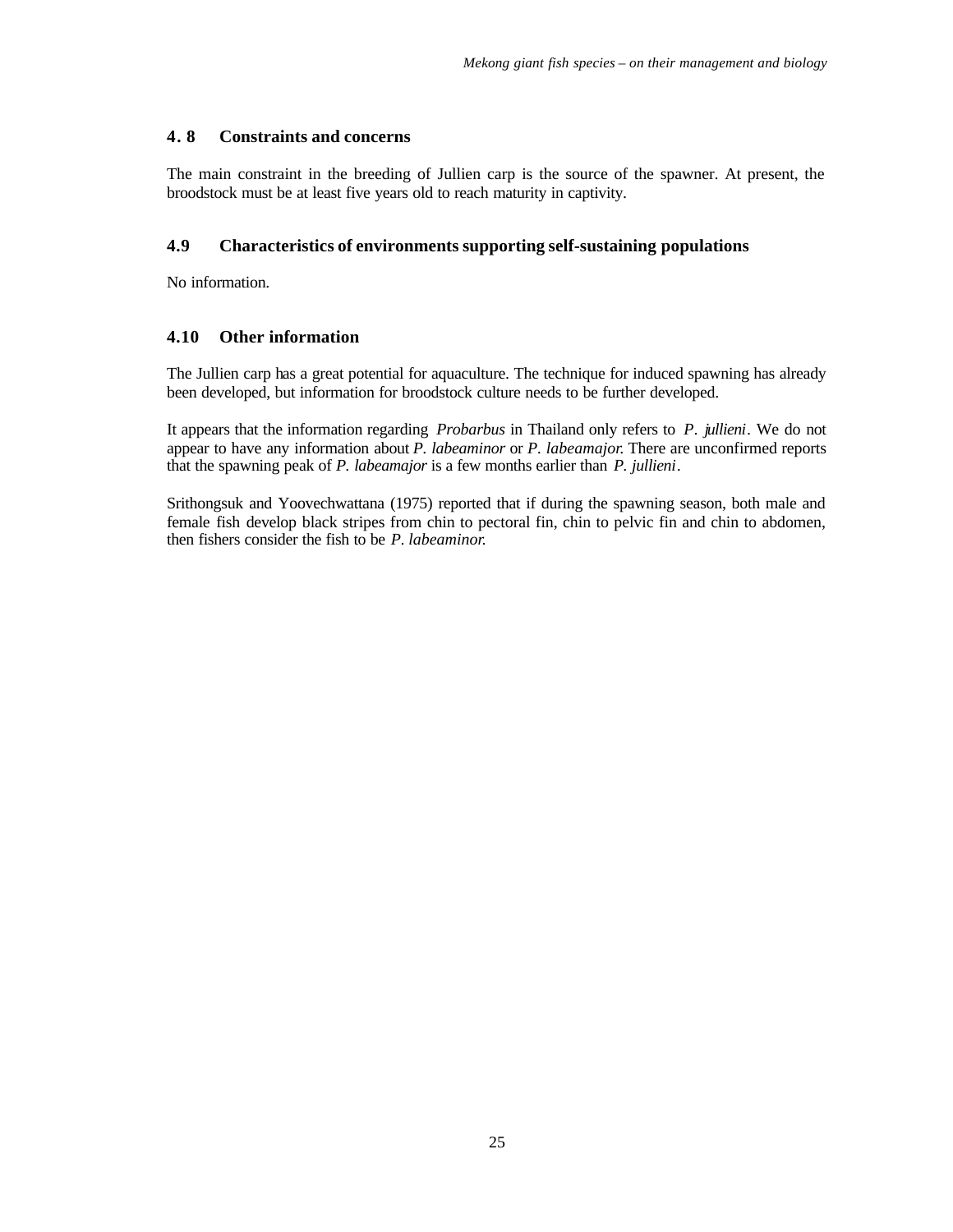#### **4. 8 Constraints and concerns**

The main constraint in the breeding of Jullien carp is the source of the spawner. At present, the broodstock must be at least five years old to reach maturity in captivity.

#### **4.9 Characteristics of environments supporting self-sustaining populations**

No information.

#### **4.10 Other information**

The Jullien carp has a great potential for aquaculture. The technique for induced spawning has already been developed, but information for broodstock culture needs to be further developed.

It appears that the information regarding *Probarbus* in Thailand only refers to *P. jullieni*. We do not appear to have any information about *P. labeaminor* or *P. labeamajor*. There are unconfirmed reports that the spawning peak of *P. labeamajor* is a few months earlier than *P. jullieni*.

Srithongsuk and Yoovechwattana (1975) reported that if during the spawning season, both male and female fish develop black stripes from chin to pectoral fin, chin to pelvic fin and chin to abdomen, then fishers consider the fish to be *P. labeaminor*.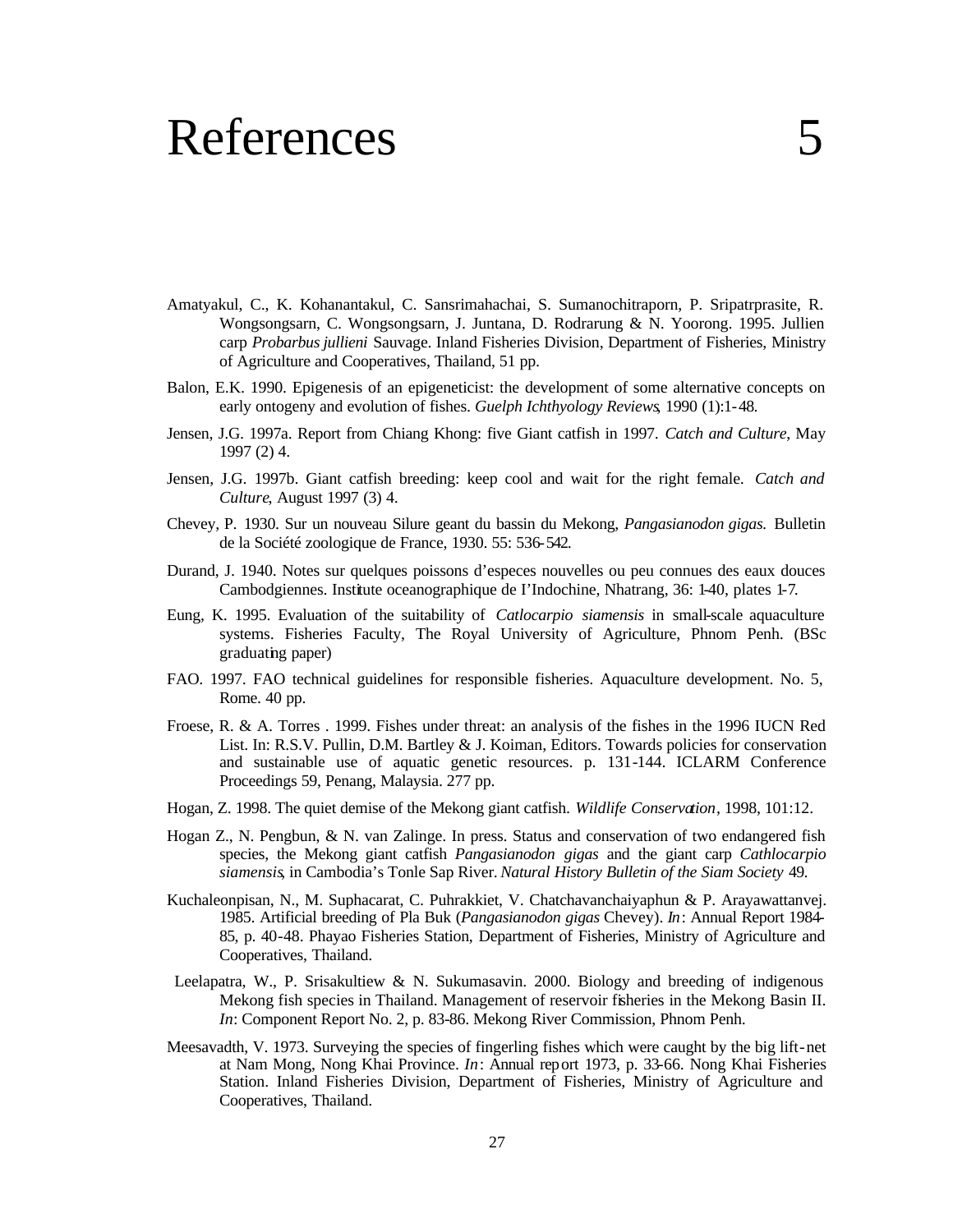### References

- Amatyakul, C., K. Kohanantakul, C. Sansrimahachai, S. Sumanochitraporn, P. Sripatrprasite, R. Wongsongsarn, C. Wongsongsarn, J. Juntana, D. Rodrarung & N. Yoorong. 1995. Jullien carp *Probarbus jullieni* Sauvage. Inland Fisheries Division, Department of Fisheries, Ministry of Agriculture and Cooperatives, Thailand, 51 pp.
- Balon, E.K. 1990. Epigenesis of an epigeneticist: the development of some alternative concepts on early ontogeny and evolution of fishes. *Guelph Ichthyology Reviews*, 1990 (1):1-48.
- Jensen, J.G. 1997a. Report from Chiang Khong: five Giant catfish in 1997. *Catch and Culture*, May 1997 (2) 4.
- Jensen, J.G. 1997b. Giant catfish breeding: keep cool and wait for the right female. *Catch and Culture*, August 1997 (3) 4.
- Chevey, P. 1930. Sur un nouveau Silure geant du bassin du Mekong, *Pangasianodon gigas.* Bulletin de la Société zoologique de France, 1930. 55: 536-542.
- Durand, J. 1940. Notes sur quelques poissons d'especes nouvelles ou peu connues des eaux douces Cambodgiennes. Institute oceanographique de I'Indochine, Nhatrang, 36: 1-40, plates 1-7.
- Eung, K. 1995. Evaluation of the suitability of *Catlocarpio siamensis* in small-scale aquaculture systems. Fisheries Faculty, The Royal University of Agriculture, Phnom Penh. (BSc graduating paper)
- FAO. 1997. FAO technical guidelines for responsible fisheries. Aquaculture development. No. 5, Rome. 40 pp.
- Froese, R. & A. Torres . 1999. Fishes under threat: an analysis of the fishes in the 1996 IUCN Red List. In: R.S.V. Pullin, D.M. Bartley & J. Koiman, Editors. Towards policies for conservation and sustainable use of aquatic genetic resources. p. 131-144. ICLARM Conference Proceedings 59, Penang, Malaysia. 277 pp.
- Hogan, Z. 1998. The quiet demise of the Mekong giant catfish. *Wildlife Conservation*, 1998, 101:12.
- Hogan Z., N. Pengbun, & N. van Zalinge. In press. Status and conservation of two endangered fish species, the Mekong giant catfish *Pangasianodon gigas* and the giant carp *Cathlocarpio siamensis*, in Cambodia's Tonle Sap River. *Natural History Bulletin of the Siam Society* 49.
- Kuchaleonpisan, N., M. Suphacarat, C. Puhrakkiet, V. Chatchavanchaiyaphun & P. Arayawattanvej. 1985. Artificial breeding of Pla Buk (*Pangasianodon gigas* Chevey). *In*: Annual Report 1984- 85, p. 40-48. Phayao Fisheries Station, Department of Fisheries, Ministry of Agriculture and Cooperatives, Thailand.
- Leelapatra, W., P. Srisakultiew & N. Sukumasavin. 2000. Biology and breeding of indigenous Mekong fish species in Thailand. Management of reservoir fisheries in the Mekong Basin II. *In*: Component Report No. 2, p. 83-86. Mekong River Commission, Phnom Penh.
- Meesavadth, V. 1973. Surveying the species of fingerling fishes which were caught by the big lift-net at Nam Mong, Nong Khai Province. *In*: Annual report 1973, p. 33-66. Nong Khai Fisheries Station. Inland Fisheries Division, Department of Fisheries, Ministry of Agriculture and Cooperatives, Thailand.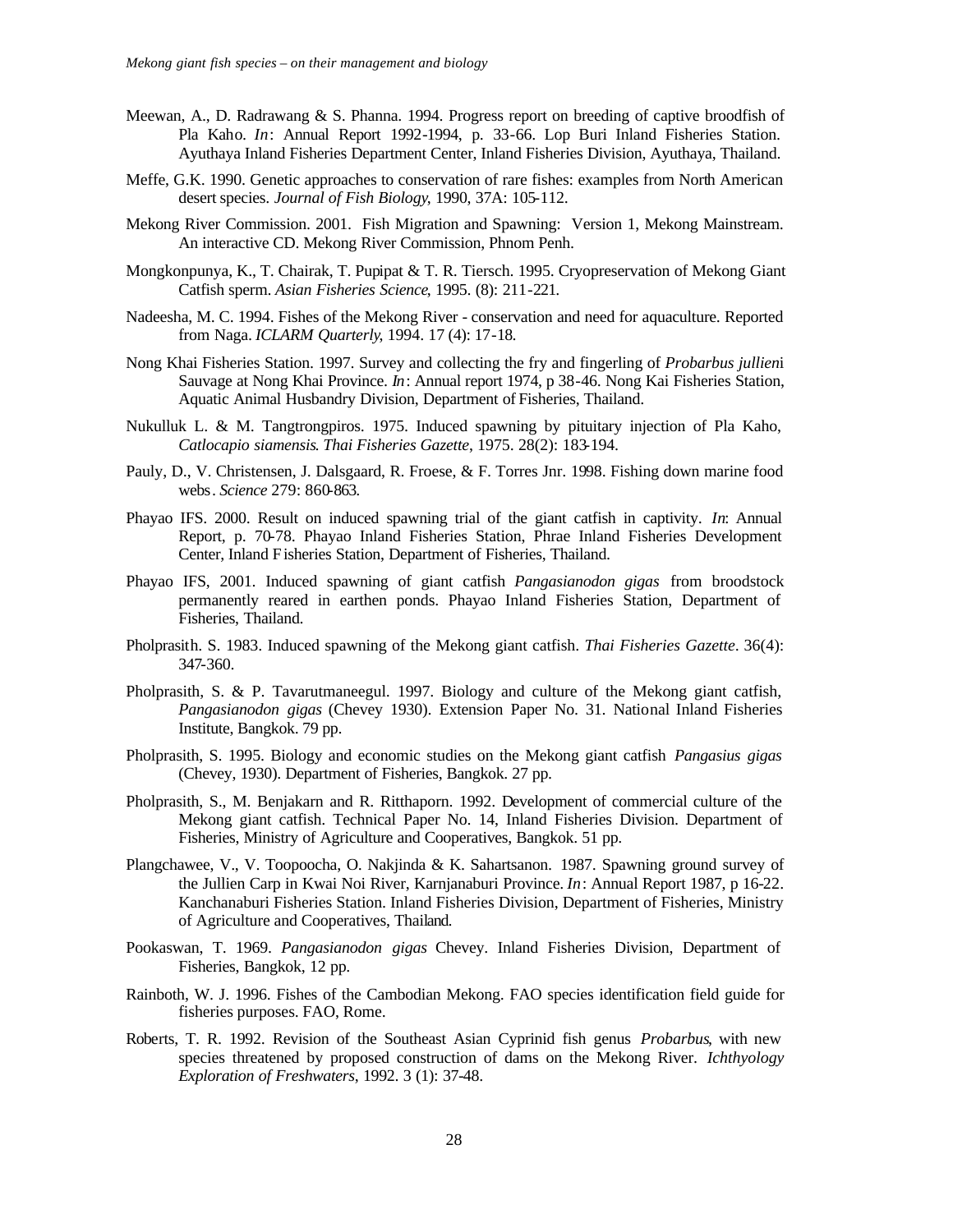- Meewan, A., D. Radrawang & S. Phanna. 1994. Progress report on breeding of captive broodfish of Pla Kaho. *In*: Annual Report 1992-1994, p. 33-66. Lop Buri Inland Fisheries Station. Ayuthaya Inland Fisheries Department Center, Inland Fisheries Division, Ayuthaya, Thailand.
- Meffe, G.K. 1990. Genetic approaches to conservation of rare fishes: examples from North American desert species. *Journal of Fish Biology*, 1990, 37A: 105-112.
- Mekong River Commission. 2001. Fish Migration and Spawning: Version 1, Mekong Mainstream. An interactive CD. Mekong River Commission, Phnom Penh.
- Mongkonpunya, K., T. Chairak, T. Pupipat & T. R. Tiersch. 1995. Cryopreservation of Mekong Giant Catfish sperm. *Asian Fisheries Science*, 1995. (8): 211-221.
- Nadeesha, M. C. 1994. Fishes of the Mekong River conservation and need for aquaculture. Reported from Naga. *ICLARM Quarterly*, 1994. 17 (4): 17-18.
- Nong Khai Fisheries Station. 1997. Survey and collecting the fry and fingerling of *Probarbus jullien*i Sauvage at Nong Khai Province. *In*: Annual report 1974, p 38-46. Nong Kai Fisheries Station, Aquatic Animal Husbandry Division, Department of Fisheries, Thailand.
- Nukulluk L. & M. Tangtrongpiros. 1975. Induced spawning by pituitary injection of Pla Kaho, *Catlocapio siamensis*. *Thai Fisheries Gazette*, 1975. 28(2): 183-194.
- Pauly, D., V. Christensen, J. Dalsgaard, R. Froese, & F. Torres Jnr. 1998. Fishing down marine food webs*. Science* 279: 860-863.
- Phayao IFS. 2000. Result on induced spawning trial of the giant catfish in captivity. *In*: Annual Report, p. 70-78. Phayao Inland Fisheries Station, Phrae Inland Fisheries Development Center, Inland Fisheries Station, Department of Fisheries, Thailand.
- Phayao IFS, 2001. Induced spawning of giant catfish *Pangasianodon gigas* from broodstock permanently reared in earthen ponds. Phayao Inland Fisheries Station, Department of Fisheries, Thailand.
- Pholprasith. S. 1983. Induced spawning of the Mekong giant catfish. *Thai Fisheries Gazette*. 36(4): 347-360.
- Pholprasith, S. & P. Tavarutmaneegul. 1997. Biology and culture of the Mekong giant catfish, *Pangasianodon gigas* (Chevey 1930). Extension Paper No. 31. National Inland Fisheries Institute, Bangkok. 79 pp.
- Pholprasith, S. 1995. Biology and economic studies on the Mekong giant catfish *Pangasius gigas* (Chevey, 1930). Department of Fisheries, Bangkok. 27 pp.
- Pholprasith, S., M. Benjakarn and R. Ritthaporn. 1992. Development of commercial culture of the Mekong giant catfish. Technical Paper No. 14, Inland Fisheries Division. Department of Fisheries, Ministry of Agriculture and Cooperatives, Bangkok. 51 pp.
- Plangchawee, V., V. Toopoocha, O. Nakjinda & K. Sahartsanon. 1987. Spawning ground survey of the Jullien Carp in Kwai Noi River, Karnjanaburi Province. *In*: Annual Report 1987, p 16-22. Kanchanaburi Fisheries Station. Inland Fisheries Division, Department of Fisheries, Ministry of Agriculture and Cooperatives, Thailand.
- Pookaswan, T. 1969. *Pangasianodon gigas* Chevey. Inland Fisheries Division, Department of Fisheries, Bangkok, 12 pp.
- Rainboth, W. J. 1996. Fishes of the Cambodian Mekong. FAO species identification field guide for fisheries purposes. FAO, Rome.
- Roberts, T. R. 1992. Revision of the Southeast Asian Cyprinid fish genus *Probarbus*, with new species threatened by proposed construction of dams on the Mekong River. *Ichthyology Exploration of Freshwaters*, 1992. 3 (1): 37-48.